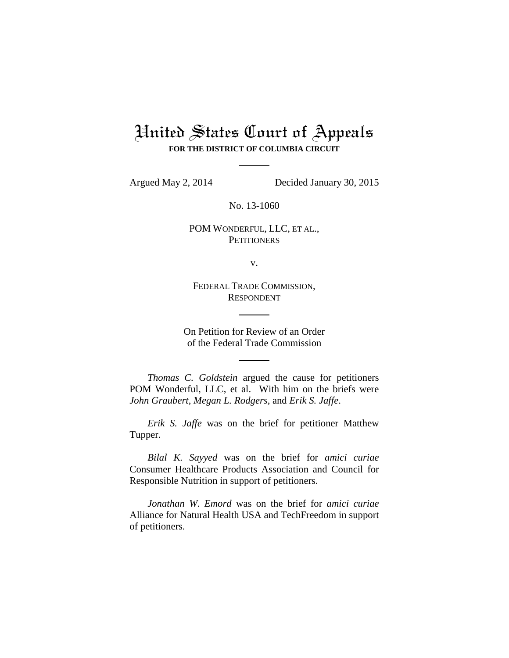# United States Court of Appeals **FOR THE DISTRICT OF COLUMBIA CIRCUIT**

Argued May 2, 2014 Decided January 30, 2015

No. 13-1060

## POM WONDERFUL, LLC, ET AL., **PETITIONERS**

v.

FEDERAL TRADE COMMISSION, RESPONDENT

On Petition for Review of an Order of the Federal Trade Commission

*Thomas C. Goldstein* argued the cause for petitioners POM Wonderful, LLC, et al. With him on the briefs were *John Graubert*, *Megan L. Rodgers*, and *Erik S. Jaffe*.

*Erik S. Jaffe* was on the brief for petitioner Matthew Tupper.

*Bilal K. Sayyed* was on the brief for *amici curiae* Consumer Healthcare Products Association and Council for Responsible Nutrition in support of petitioners.

*Jonathan W. Emord* was on the brief for *amici curiae*  Alliance for Natural Health USA and TechFreedom in support of petitioners.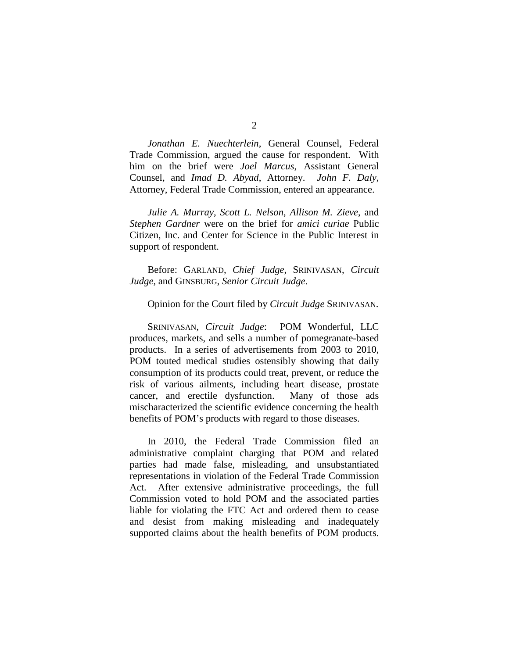*Jonathan E. Nuechterlein*, General Counsel, Federal Trade Commission, argued the cause for respondent. With him on the brief were *Joel Marcus*, Assistant General Counsel, and *Imad D. Abyad*, Attorney. *John F. Daly*, Attorney, Federal Trade Commission, entered an appearance.

*Julie A. Murray*, *Scott L. Nelson*, *Allison M. Zieve*, and *Stephen Gardner* were on the brief for *amici curiae* Public Citizen, Inc. and Center for Science in the Public Interest in support of respondent.

Before: GARLAND, *Chief Judge*, SRINIVASAN, *Circuit Judge*, and GINSBURG, *Senior Circuit Judge*.

#### Opinion for the Court filed by *Circuit Judge* SRINIVASAN.

SRINIVASAN, *Circuit Judge*:POM Wonderful, LLC produces, markets, and sells a number of pomegranate-based products. In a series of advertisements from 2003 to 2010, POM touted medical studies ostensibly showing that daily consumption of its products could treat, prevent, or reduce the risk of various ailments, including heart disease, prostate cancer, and erectile dysfunction. Many of those ads mischaracterized the scientific evidence concerning the health benefits of POM's products with regard to those diseases.

In 2010, the Federal Trade Commission filed an administrative complaint charging that POM and related parties had made false, misleading, and unsubstantiated representations in violation of the Federal Trade Commission Act. After extensive administrative proceedings, the full Commission voted to hold POM and the associated parties liable for violating the FTC Act and ordered them to cease and desist from making misleading and inadequately supported claims about the health benefits of POM products.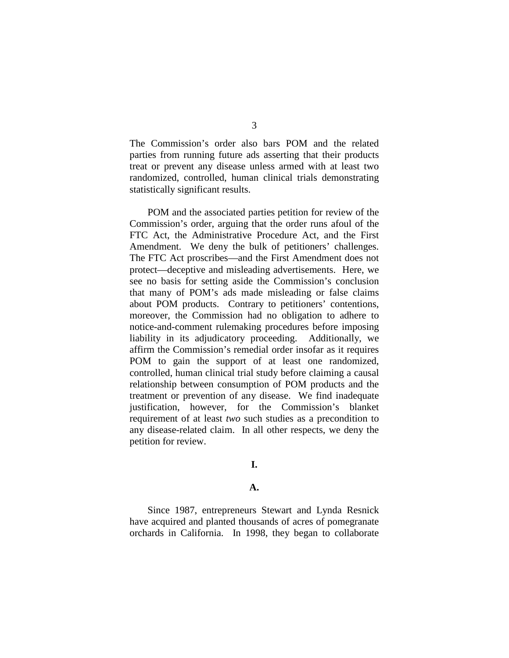The Commission's order also bars POM and the related parties from running future ads asserting that their products treat or prevent any disease unless armed with at least two randomized, controlled, human clinical trials demonstrating statistically significant results.

POM and the associated parties petition for review of the Commission's order, arguing that the order runs afoul of the FTC Act, the Administrative Procedure Act, and the First Amendment. We deny the bulk of petitioners' challenges. The FTC Act proscribes—and the First Amendment does not protect—deceptive and misleading advertisements. Here, we see no basis for setting aside the Commission's conclusion that many of POM's ads made misleading or false claims about POM products. Contrary to petitioners' contentions, moreover, the Commission had no obligation to adhere to notice-and-comment rulemaking procedures before imposing liability in its adjudicatory proceeding. Additionally, we affirm the Commission's remedial order insofar as it requires POM to gain the support of at least one randomized, controlled, human clinical trial study before claiming a causal relationship between consumption of POM products and the treatment or prevention of any disease. We find inadequate justification, however, for the Commission's blanket requirement of at least *two* such studies as a precondition to any disease-related claim. In all other respects, we deny the petition for review.

## **I.**

## **A.**

Since 1987, entrepreneurs Stewart and Lynda Resnick have acquired and planted thousands of acres of pomegranate orchards in California. In 1998, they began to collaborate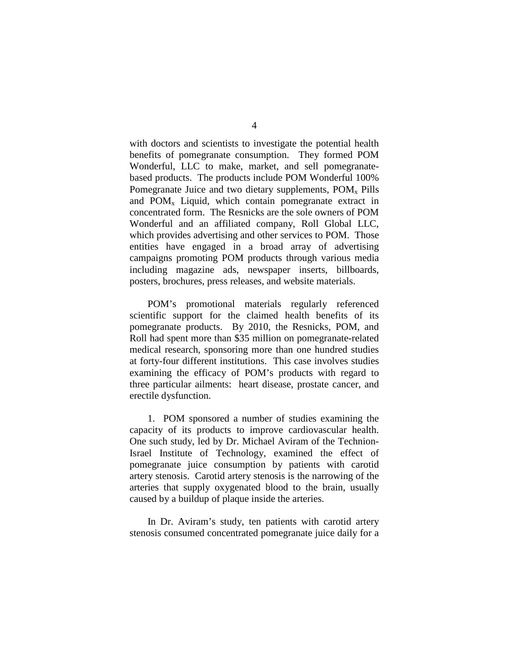with doctors and scientists to investigate the potential health benefits of pomegranate consumption. They formed POM Wonderful, LLC to make, market, and sell pomegranatebased products. The products include POM Wonderful 100% Pomegranate Juice and two dietary supplements,  $POM<sub>x</sub>$  Pills and  $POM_x$  Liquid, which contain pomegranate extract in concentrated form. The Resnicks are the sole owners of POM Wonderful and an affiliated company, Roll Global LLC, which provides advertising and other services to POM. Those entities have engaged in a broad array of advertising campaigns promoting POM products through various media including magazine ads, newspaper inserts, billboards, posters, brochures, press releases, and website materials.

POM's promotional materials regularly referenced scientific support for the claimed health benefits of its pomegranate products. By 2010, the Resnicks, POM, and Roll had spent more than \$35 million on pomegranate-related medical research, sponsoring more than one hundred studies at forty-four different institutions. This case involves studies examining the efficacy of POM's products with regard to three particular ailments: heart disease, prostate cancer, and erectile dysfunction.

1. POM sponsored a number of studies examining the capacity of its products to improve cardiovascular health. One such study, led by Dr. Michael Aviram of the Technion-Israel Institute of Technology, examined the effect of pomegranate juice consumption by patients with carotid artery stenosis. Carotid artery stenosis is the narrowing of the arteries that supply oxygenated blood to the brain, usually caused by a buildup of plaque inside the arteries.

In Dr. Aviram's study, ten patients with carotid artery stenosis consumed concentrated pomegranate juice daily for a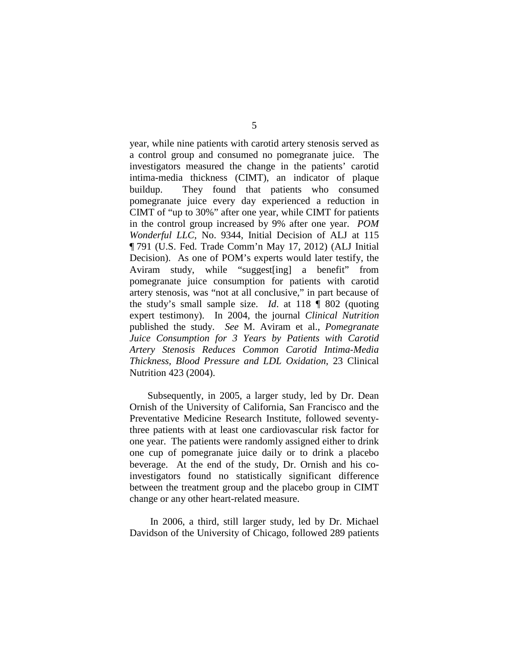year, while nine patients with carotid artery stenosis served as a control group and consumed no pomegranate juice. The investigators measured the change in the patients' carotid intima-media thickness (CIMT), an indicator of plaque buildup. They found that patients who consumed pomegranate juice every day experienced a reduction in CIMT of "up to 30%" after one year, while CIMT for patients in the control group increased by 9% after one year. *POM Wonderful LLC*, No. 9344, Initial Decision of ALJ at 115 ¶ 791 (U.S. Fed. Trade Comm'n May 17, 2012) (ALJ Initial Decision). As one of POM's experts would later testify, the Aviram study, while "suggest[ing] a benefit" from pomegranate juice consumption for patients with carotid artery stenosis, was "not at all conclusive," in part because of the study's small sample size. *Id*. at 118 ¶ 802 (quoting expert testimony). In 2004, the journal *Clinical Nutrition*  published the study. *See* M. Aviram et al., *Pomegranate Juice Consumption for 3 Years by Patients with Carotid Artery Stenosis Reduces Common Carotid Intima-Media Thickness, Blood Pressure and LDL Oxidation*, 23 Clinical Nutrition 423 (2004).

Subsequently, in 2005, a larger study, led by Dr. Dean Ornish of the University of California, San Francisco and the Preventative Medicine Research Institute, followed seventythree patients with at least one cardiovascular risk factor for one year. The patients were randomly assigned either to drink one cup of pomegranate juice daily or to drink a placebo beverage. At the end of the study, Dr. Ornish and his coinvestigators found no statistically significant difference between the treatment group and the placebo group in CIMT change or any other heart-related measure.

In 2006, a third, still larger study, led by Dr. Michael Davidson of the University of Chicago, followed 289 patients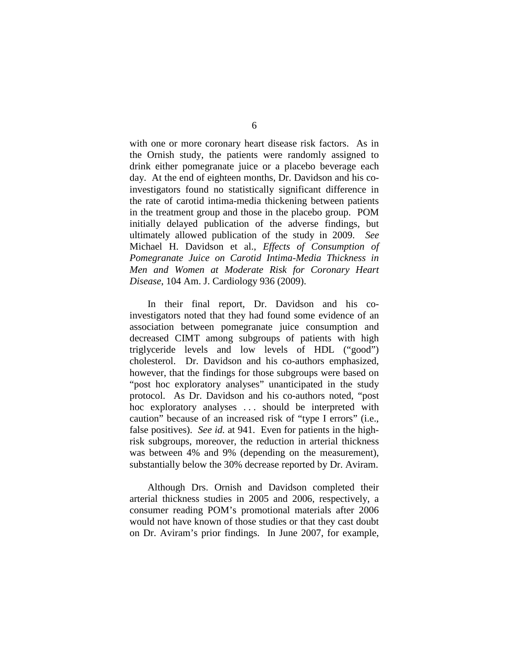with one or more coronary heart disease risk factors. As in the Ornish study, the patients were randomly assigned to drink either pomegranate juice or a placebo beverage each day. At the end of eighteen months, Dr. Davidson and his coinvestigators found no statistically significant difference in the rate of carotid intima-media thickening between patients in the treatment group and those in the placebo group. POM initially delayed publication of the adverse findings, but ultimately allowed publication of the study in 2009. *See* Michael H. Davidson et al., *Effects of Consumption of Pomegranate Juice on Carotid Intima-Media Thickness in Men and Women at Moderate Risk for Coronary Heart Disease*, 104 Am. J. Cardiology 936 (2009).

In their final report, Dr. Davidson and his coinvestigators noted that they had found some evidence of an association between pomegranate juice consumption and decreased CIMT among subgroups of patients with high triglyceride levels and low levels of HDL ("good") cholesterol. Dr. Davidson and his co-authors emphasized, however, that the findings for those subgroups were based on "post hoc exploratory analyses" unanticipated in the study protocol. As Dr. Davidson and his co-authors noted, "post hoc exploratory analyses ... should be interpreted with caution" because of an increased risk of "type I errors" (i.e., false positives). *See id.* at 941. Even for patients in the highrisk subgroups, moreover, the reduction in arterial thickness was between 4% and 9% (depending on the measurement), substantially below the 30% decrease reported by Dr. Aviram.

Although Drs. Ornish and Davidson completed their arterial thickness studies in 2005 and 2006, respectively, a consumer reading POM's promotional materials after 2006 would not have known of those studies or that they cast doubt on Dr. Aviram's prior findings. In June 2007, for example,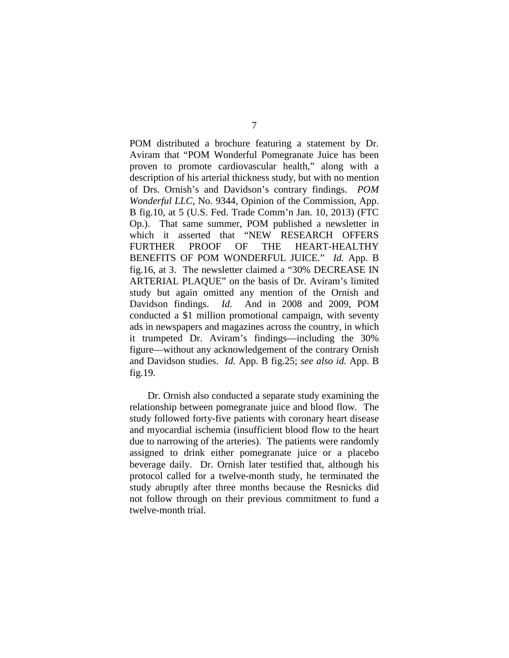POM distributed a brochure featuring a statement by Dr. Aviram that "POM Wonderful Pomegranate Juice has been proven to promote cardiovascular health," along with a description of his arterial thickness study, but with no mention of Drs. Ornish's and Davidson's contrary findings. *POM Wonderful LLC*, No. 9344, Opinion of the Commission, App. B fig.10, at 5 (U.S. Fed. Trade Comm'n Jan. 10, 2013) (FTC Op.). That same summer, POM published a newsletter in which it asserted that "NEW RESEARCH OFFERS FURTHER PROOF OF THE HEART-HEALTHY BENEFITS OF POM WONDERFUL JUICE." *Id.* App. B fig.16, at 3. The newsletter claimed a "30% DECREASE IN ARTERIAL PLAQUE" on the basis of Dr. Aviram's limited study but again omitted any mention of the Ornish and Davidson findings. *Id.* And in 2008 and 2009, POM conducted a \$1 million promotional campaign, with seventy ads in newspapers and magazines across the country, in which it trumpeted Dr. Aviram's findings—including the 30% figure—without any acknowledgement of the contrary Ornish and Davidson studies. *Id.* App. B fig.25; *see also id.* App. B fig.19.

Dr. Ornish also conducted a separate study examining the relationship between pomegranate juice and blood flow. The study followed forty-five patients with coronary heart disease and myocardial ischemia (insufficient blood flow to the heart due to narrowing of the arteries). The patients were randomly assigned to drink either pomegranate juice or a placebo beverage daily. Dr. Ornish later testified that, although his protocol called for a twelve-month study, he terminated the study abruptly after three months because the Resnicks did not follow through on their previous commitment to fund a twelve-month trial.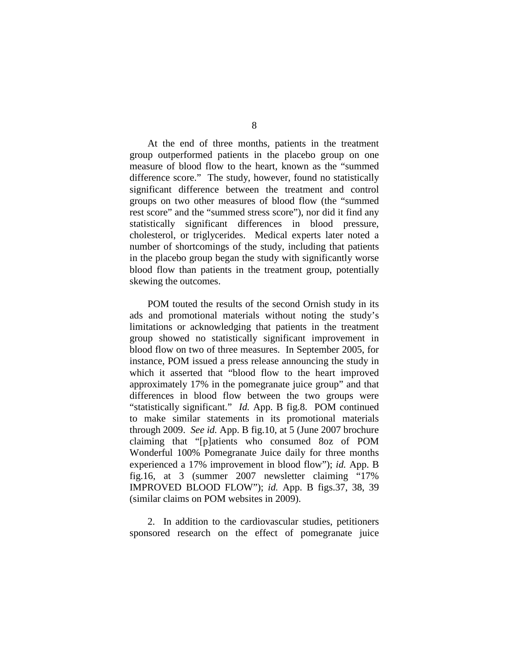At the end of three months, patients in the treatment group outperformed patients in the placebo group on one measure of blood flow to the heart, known as the "summed difference score." The study, however, found no statistically significant difference between the treatment and control groups on two other measures of blood flow (the "summed rest score" and the "summed stress score"), nor did it find any statistically significant differences in blood pressure, cholesterol, or triglycerides. Medical experts later noted a number of shortcomings of the study, including that patients in the placebo group began the study with significantly worse blood flow than patients in the treatment group, potentially skewing the outcomes.

POM touted the results of the second Ornish study in its ads and promotional materials without noting the study's limitations or acknowledging that patients in the treatment group showed no statistically significant improvement in blood flow on two of three measures. In September 2005, for instance, POM issued a press release announcing the study in which it asserted that "blood flow to the heart improved approximately 17% in the pomegranate juice group" and that differences in blood flow between the two groups were "statistically significant." *Id.* App. B fig.8. POM continued to make similar statements in its promotional materials through 2009. *See id.* App. B fig.10, at 5 (June 2007 brochure claiming that "[p]atients who consumed 8oz of POM Wonderful 100% Pomegranate Juice daily for three months experienced a 17% improvement in blood flow"); *id.* App. B fig.16, at 3 (summer 2007 newsletter claiming "17% IMPROVED BLOOD FLOW"); *id.* App. B figs.37, 38, 39 (similar claims on POM websites in 2009).

2. In addition to the cardiovascular studies, petitioners sponsored research on the effect of pomegranate juice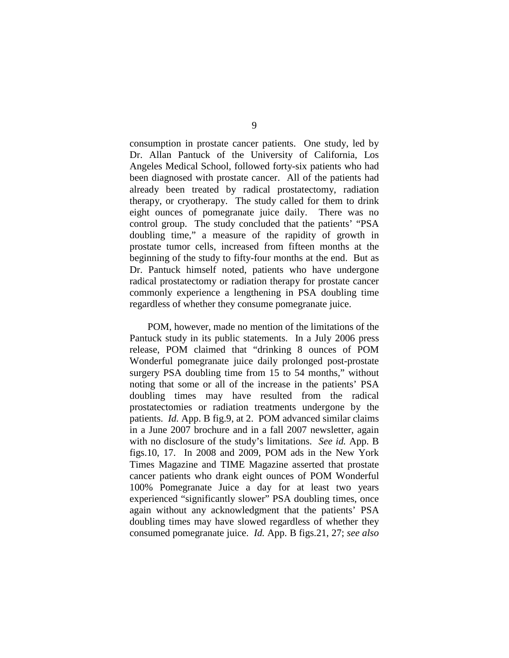consumption in prostate cancer patients. One study, led by Dr. Allan Pantuck of the University of California, Los Angeles Medical School, followed forty-six patients who had been diagnosed with prostate cancer. All of the patients had already been treated by radical prostatectomy, radiation therapy, or cryotherapy. The study called for them to drink eight ounces of pomegranate juice daily. There was no control group. The study concluded that the patients' "PSA doubling time," a measure of the rapidity of growth in prostate tumor cells, increased from fifteen months at the beginning of the study to fifty-four months at the end. But as Dr. Pantuck himself noted, patients who have undergone radical prostatectomy or radiation therapy for prostate cancer commonly experience a lengthening in PSA doubling time regardless of whether they consume pomegranate juice.

POM, however, made no mention of the limitations of the Pantuck study in its public statements. In a July 2006 press release, POM claimed that "drinking 8 ounces of POM Wonderful pomegranate juice daily prolonged post-prostate surgery PSA doubling time from 15 to 54 months," without noting that some or all of the increase in the patients' PSA doubling times may have resulted from the radical prostatectomies or radiation treatments undergone by the patients. *Id.* App. B fig.9, at 2. POM advanced similar claims in a June 2007 brochure and in a fall 2007 newsletter, again with no disclosure of the study's limitations. *See id.* App. B figs.10, 17. In 2008 and 2009, POM ads in the New York Times Magazine and TIME Magazine asserted that prostate cancer patients who drank eight ounces of POM Wonderful 100% Pomegranate Juice a day for at least two years experienced "significantly slower" PSA doubling times, once again without any acknowledgment that the patients' PSA doubling times may have slowed regardless of whether they consumed pomegranate juice. *Id.* App. B figs.21, 27; *see also*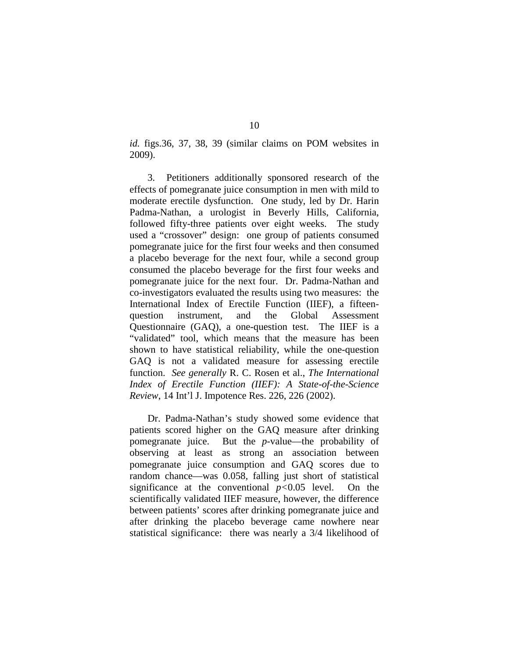*id.* figs.36, 37, 38, 39 (similar claims on POM websites in 2009).

3. Petitioners additionally sponsored research of the effects of pomegranate juice consumption in men with mild to moderate erectile dysfunction. One study, led by Dr. Harin Padma-Nathan, a urologist in Beverly Hills, California, followed fifty-three patients over eight weeks. The study used a "crossover" design: one group of patients consumed pomegranate juice for the first four weeks and then consumed a placebo beverage for the next four, while a second group consumed the placebo beverage for the first four weeks and pomegranate juice for the next four. Dr. Padma-Nathan and co-investigators evaluated the results using two measures: the International Index of Erectile Function (IIEF), a fifteenquestion instrument, and the Global Assessment Questionnaire (GAQ), a one-question test. The IIEF is a "validated" tool, which means that the measure has been shown to have statistical reliability, while the one-question GAQ is not a validated measure for assessing erectile function. *See generally* R. C. Rosen et al., *The International Index of Erectile Function (IIEF): A State-of-the-Science Review*, 14 Int'l J. Impotence Res. 226, 226 (2002).

Dr. Padma-Nathan's study showed some evidence that patients scored higher on the GAQ measure after drinking pomegranate juice. But the *p*-value—the probability of observing at least as strong an association between pomegranate juice consumption and GAQ scores due to random chance—was 0.058, falling just short of statistical significance at the conventional  $p < 0.05$  level. On the scientifically validated IIEF measure, however, the difference between patients' scores after drinking pomegranate juice and after drinking the placebo beverage came nowhere near statistical significance: there was nearly a 3/4 likelihood of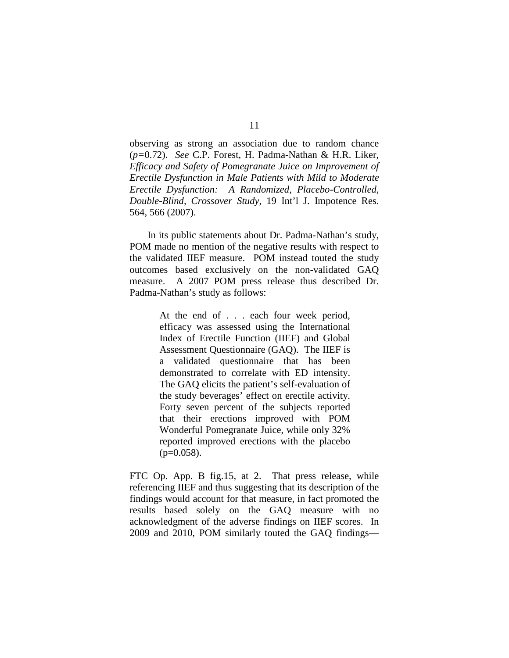observing as strong an association due to random chance (*p=*0.72). *See* C.P. Forest, H. Padma-Nathan & H.R. Liker, *Efficacy and Safety of Pomegranate Juice on Improvement of Erectile Dysfunction in Male Patients with Mild to Moderate Erectile Dysfunction: A Randomized, Placebo-Controlled, Double-Blind, Crossover Study*, 19 Int'l J. Impotence Res. 564, 566 (2007).

In its public statements about Dr. Padma-Nathan's study, POM made no mention of the negative results with respect to the validated IIEF measure. POM instead touted the study outcomes based exclusively on the non-validated GAQ measure. A 2007 POM press release thus described Dr. Padma-Nathan's study as follows:

> At the end of . . . each four week period, efficacy was assessed using the International Index of Erectile Function (IIEF) and Global Assessment Questionnaire (GAQ). The IIEF is a validated questionnaire that has been demonstrated to correlate with ED intensity. The GAQ elicits the patient's self-evaluation of the study beverages' effect on erectile activity. Forty seven percent of the subjects reported that their erections improved with POM Wonderful Pomegranate Juice, while only 32% reported improved erections with the placebo  $(p=0.058)$ .

FTC Op. App. B fig.15, at 2. That press release, while referencing IIEF and thus suggesting that its description of the findings would account for that measure, in fact promoted the results based solely on the GAQ measure with no acknowledgment of the adverse findings on IIEF scores. In 2009 and 2010, POM similarly touted the GAQ findings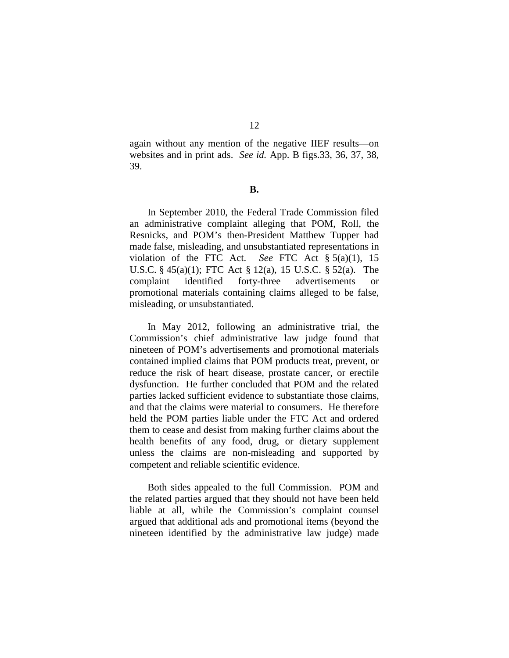again without any mention of the negative IIEF results—on websites and in print ads. *See id.* App. B figs.33, 36, 37, 38, 39.

**B.**

In September 2010, the Federal Trade Commission filed an administrative complaint alleging that POM, Roll, the Resnicks, and POM's then-President Matthew Tupper had made false, misleading, and unsubstantiated representations in violation of the FTC Act. *See* FTC Act § 5(a)(1), 15 U.S.C. § 45(a)(1); FTC Act § 12(a), 15 U.S.C. § 52(a). The complaint identified forty-three advertisements or promotional materials containing claims alleged to be false, misleading, or unsubstantiated.

In May 2012, following an administrative trial, the Commission's chief administrative law judge found that nineteen of POM's advertisements and promotional materials contained implied claims that POM products treat, prevent, or reduce the risk of heart disease, prostate cancer, or erectile dysfunction. He further concluded that POM and the related parties lacked sufficient evidence to substantiate those claims, and that the claims were material to consumers. He therefore held the POM parties liable under the FTC Act and ordered them to cease and desist from making further claims about the health benefits of any food, drug, or dietary supplement unless the claims are non-misleading and supported by competent and reliable scientific evidence.

Both sides appealed to the full Commission. POM and the related parties argued that they should not have been held liable at all, while the Commission's complaint counsel argued that additional ads and promotional items (beyond the nineteen identified by the administrative law judge) made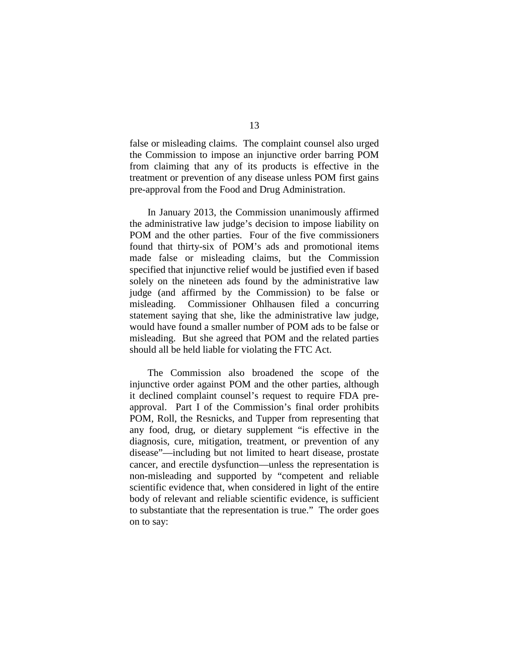false or misleading claims. The complaint counsel also urged the Commission to impose an injunctive order barring POM from claiming that any of its products is effective in the treatment or prevention of any disease unless POM first gains pre-approval from the Food and Drug Administration.

In January 2013, the Commission unanimously affirmed the administrative law judge's decision to impose liability on POM and the other parties. Four of the five commissioners found that thirty-six of POM's ads and promotional items made false or misleading claims, but the Commission specified that injunctive relief would be justified even if based solely on the nineteen ads found by the administrative law judge (and affirmed by the Commission) to be false or misleading. Commissioner Ohlhausen filed a concurring statement saying that she, like the administrative law judge, would have found a smaller number of POM ads to be false or misleading. But she agreed that POM and the related parties should all be held liable for violating the FTC Act.

The Commission also broadened the scope of the injunctive order against POM and the other parties, although it declined complaint counsel's request to require FDA preapproval. Part I of the Commission's final order prohibits POM, Roll, the Resnicks, and Tupper from representing that any food, drug, or dietary supplement "is effective in the diagnosis, cure, mitigation, treatment, or prevention of any disease"—including but not limited to heart disease, prostate cancer, and erectile dysfunction—unless the representation is non-misleading and supported by "competent and reliable scientific evidence that, when considered in light of the entire body of relevant and reliable scientific evidence, is sufficient to substantiate that the representation is true." The order goes on to say: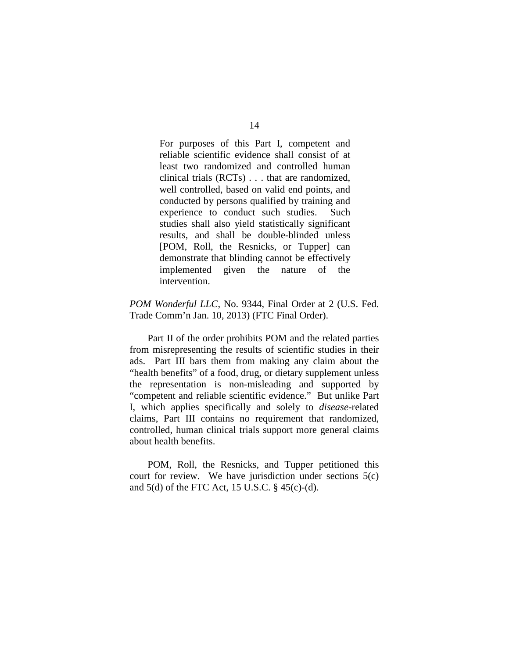For purposes of this Part I, competent and reliable scientific evidence shall consist of at least two randomized and controlled human clinical trials (RCTs) . . . that are randomized, well controlled, based on valid end points, and conducted by persons qualified by training and experience to conduct such studies. Such studies shall also yield statistically significant results, and shall be double-blinded unless [POM, Roll, the Resnicks, or Tupper] can demonstrate that blinding cannot be effectively implemented given the nature of the intervention.

# *POM Wonderful LLC*, No. 9344, Final Order at 2 (U.S. Fed. Trade Comm'n Jan. 10, 2013) (FTC Final Order).

Part II of the order prohibits POM and the related parties from misrepresenting the results of scientific studies in their ads. Part III bars them from making any claim about the "health benefits" of a food, drug, or dietary supplement unless the representation is non-misleading and supported by "competent and reliable scientific evidence." But unlike Part I, which applies specifically and solely to *disease*-related claims, Part III contains no requirement that randomized, controlled, human clinical trials support more general claims about health benefits.

POM, Roll, the Resnicks, and Tupper petitioned this court for review. We have jurisdiction under sections 5(c) and 5(d) of the FTC Act, 15 U.S.C. § 45(c)-(d).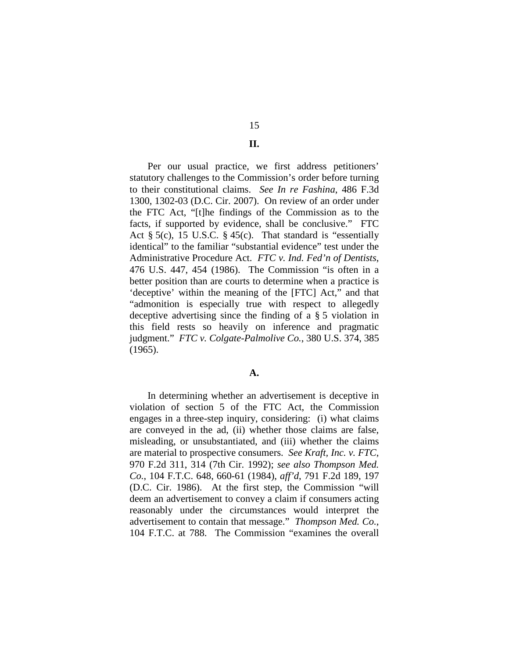# 15

## **II.**

Per our usual practice, we first address petitioners' statutory challenges to the Commission's order before turning to their constitutional claims. *See In re Fashina*, 486 F.3d 1300, 1302-03 (D.C. Cir. 2007). On review of an order under the FTC Act, "[t]he findings of the Commission as to the facts, if supported by evidence, shall be conclusive." FTC Act  $\S$  5(c), 15 U.S.C.  $\S$  45(c). That standard is "essentially identical" to the familiar "substantial evidence" test under the Administrative Procedure Act. *FTC v. Ind. Fed'n of Dentists*, 476 U.S. 447, 454 (1986). The Commission "is often in a better position than are courts to determine when a practice is 'deceptive' within the meaning of the [FTC] Act," and that "admonition is especially true with respect to allegedly deceptive advertising since the finding of a § 5 violation in this field rests so heavily on inference and pragmatic judgment." *FTC v. Colgate-Palmolive Co.*, 380 U.S. 374, 385 (1965).

## **A.**

In determining whether an advertisement is deceptive in violation of section 5 of the FTC Act, the Commission engages in a three-step inquiry, considering: (i) what claims are conveyed in the ad, (ii) whether those claims are false, misleading, or unsubstantiated, and (iii) whether the claims are material to prospective consumers. *See Kraft, Inc. v. FTC*, 970 F.2d 311, 314 (7th Cir. 1992); *see also Thompson Med. Co.*, 104 F.T.C. 648, 660-61 (1984), *aff'd*, 791 F.2d 189, 197 (D.C. Cir. 1986). At the first step, the Commission "will deem an advertisement to convey a claim if consumers acting reasonably under the circumstances would interpret the advertisement to contain that message." *Thompson Med. Co.*, 104 F.T.C. at 788. The Commission "examines the overall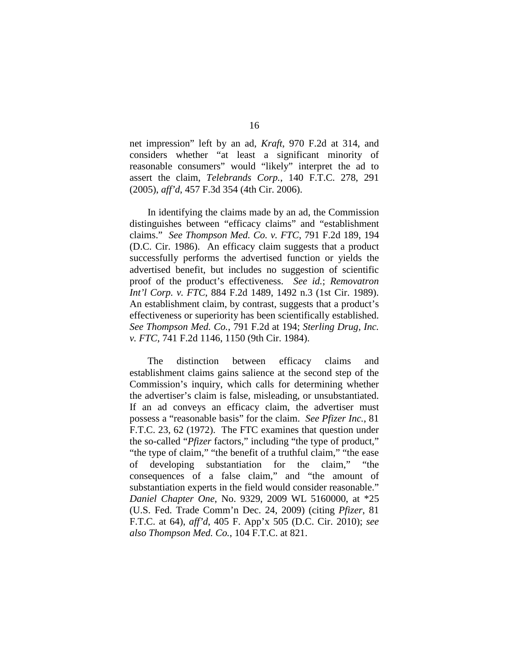net impression" left by an ad, *Kraft*, 970 F.2d at 314, and considers whether "at least a significant minority of reasonable consumers" would "likely" interpret the ad to assert the claim, *Telebrands Corp.*, 140 F.T.C. 278, 291 (2005), *aff'd*, 457 F.3d 354 (4th Cir. 2006).

In identifying the claims made by an ad, the Commission distinguishes between "efficacy claims" and "establishment claims." *See Thompson Med. Co. v. FTC*, 791 F.2d 189, 194 (D.C. Cir. 1986). An efficacy claim suggests that a product successfully performs the advertised function or yields the advertised benefit, but includes no suggestion of scientific proof of the product's effectiveness. *See id.*; *Removatron Int'l Corp. v. FTC*, 884 F.2d 1489, 1492 n.3 (1st Cir. 1989). An establishment claim, by contrast, suggests that a product's effectiveness or superiority has been scientifically established. *See Thompson Med. Co.*, 791 F.2d at 194; *Sterling Drug, Inc. v. FTC*, 741 F.2d 1146, 1150 (9th Cir. 1984).

The distinction between efficacy claims and establishment claims gains salience at the second step of the Commission's inquiry, which calls for determining whether the advertiser's claim is false, misleading, or unsubstantiated. If an ad conveys an efficacy claim, the advertiser must possess a "reasonable basis" for the claim. *See Pfizer Inc.*, 81 F.T.C. 23, 62 (1972). The FTC examines that question under the so-called "*Pfizer* factors," including "the type of product," "the type of claim," "the benefit of a truthful claim," "the ease of developing substantiation for the claim," "the consequences of a false claim," and "the amount of substantiation experts in the field would consider reasonable." *Daniel Chapter One*, No. 9329, 2009 WL 5160000, at \*25 (U.S. Fed. Trade Comm'n Dec. 24, 2009) (citing *Pfizer*, 81 F.T.C. at 64), *aff'd*, 405 F. App'x 505 (D.C. Cir. 2010); *see also Thompson Med. Co.*, 104 F.T.C. at 821.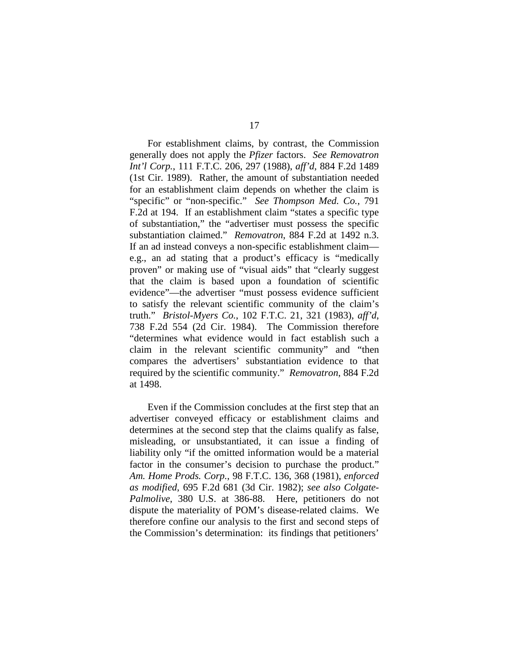For establishment claims, by contrast, the Commission generally does not apply the *Pfizer* factors. *See Removatron Int'l Corp.*, 111 F.T.C. 206, 297 (1988), *aff'd*, 884 F.2d 1489 (1st Cir. 1989). Rather, the amount of substantiation needed for an establishment claim depends on whether the claim is "specific" or "non-specific." *See Thompson Med. Co.*, 791 F.2d at 194. If an establishment claim "states a specific type of substantiation," the "advertiser must possess the specific substantiation claimed." *Removatron*, 884 F.2d at 1492 n.3. If an ad instead conveys a non-specific establishment claim e.g., an ad stating that a product's efficacy is "medically proven" or making use of "visual aids" that "clearly suggest that the claim is based upon a foundation of scientific evidence"—the advertiser "must possess evidence sufficient to satisfy the relevant scientific community of the claim's truth." *Bristol-Myers Co.*, 102 F.T.C. 21, 321 (1983), *aff'd*, 738 F.2d 554 (2d Cir. 1984). The Commission therefore "determines what evidence would in fact establish such a claim in the relevant scientific community" and "then compares the advertisers' substantiation evidence to that required by the scientific community." *Removatron*, 884 F.2d at 1498.

Even if the Commission concludes at the first step that an advertiser conveyed efficacy or establishment claims and determines at the second step that the claims qualify as false, misleading, or unsubstantiated, it can issue a finding of liability only "if the omitted information would be a material factor in the consumer's decision to purchase the product." *Am. Home Prods. Corp.*, 98 F.T.C. 136, 368 (1981), *enforced as modified*, 695 F.2d 681 (3d Cir. 1982); *see also Colgate-Palmolive*, 380 U.S. at 386-88. Here, petitioners do not dispute the materiality of POM's disease-related claims. We therefore confine our analysis to the first and second steps of the Commission's determination: its findings that petitioners'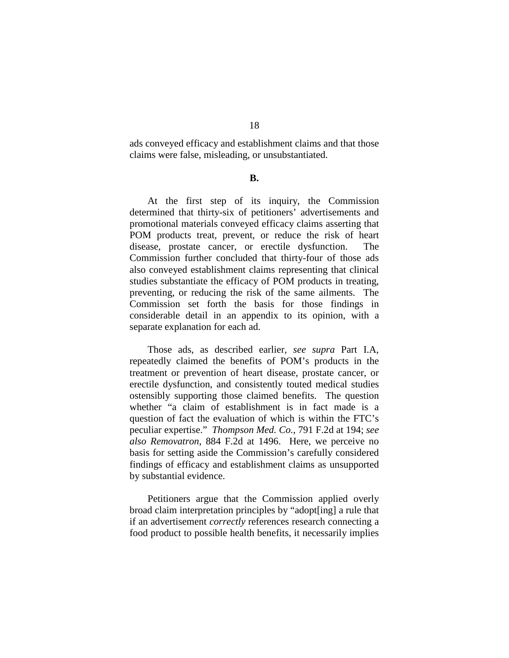ads conveyed efficacy and establishment claims and that those claims were false, misleading, or unsubstantiated.

**B.**

At the first step of its inquiry, the Commission determined that thirty-six of petitioners' advertisements and promotional materials conveyed efficacy claims asserting that POM products treat, prevent, or reduce the risk of heart disease, prostate cancer, or erectile dysfunction. The Commission further concluded that thirty-four of those ads also conveyed establishment claims representing that clinical studies substantiate the efficacy of POM products in treating, preventing, or reducing the risk of the same ailments. The Commission set forth the basis for those findings in considerable detail in an appendix to its opinion, with a separate explanation for each ad.

Those ads, as described earlier, *see supra* Part I.A, repeatedly claimed the benefits of POM's products in the treatment or prevention of heart disease, prostate cancer, or erectile dysfunction, and consistently touted medical studies ostensibly supporting those claimed benefits. The question whether "a claim of establishment is in fact made is a question of fact the evaluation of which is within the FTC's peculiar expertise." *Thompson Med. Co.*, 791 F.2d at 194; *see also Removatron*, 884 F.2d at 1496. Here, we perceive no basis for setting aside the Commission's carefully considered findings of efficacy and establishment claims as unsupported by substantial evidence.

Petitioners argue that the Commission applied overly broad claim interpretation principles by "adopt[ing] a rule that if an advertisement *correctly* references research connecting a food product to possible health benefits, it necessarily implies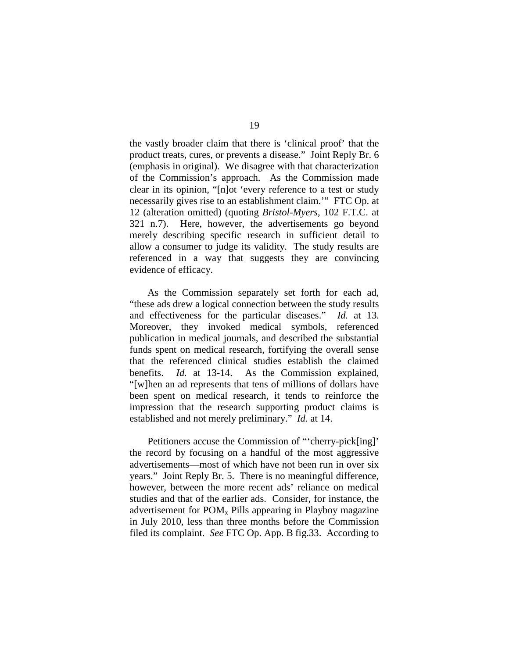the vastly broader claim that there is 'clinical proof' that the product treats, cures, or prevents a disease." Joint Reply Br. 6 (emphasis in original). We disagree with that characterization of the Commission's approach. As the Commission made clear in its opinion, "[n]ot 'every reference to a test or study necessarily gives rise to an establishment claim.'" FTC Op. at 12 (alteration omitted) (quoting *Bristol-Myers*, 102 F.T.C. at 321 n.7). Here, however, the advertisements go beyond merely describing specific research in sufficient detail to allow a consumer to judge its validity. The study results are referenced in a way that suggests they are convincing evidence of efficacy.

As the Commission separately set forth for each ad, "these ads drew a logical connection between the study results and effectiveness for the particular diseases." *Id.* at 13. Moreover, they invoked medical symbols, referenced publication in medical journals, and described the substantial funds spent on medical research, fortifying the overall sense that the referenced clinical studies establish the claimed benefits. *Id.* at 13-14. As the Commission explained, "[w]hen an ad represents that tens of millions of dollars have been spent on medical research, it tends to reinforce the impression that the research supporting product claims is established and not merely preliminary." *Id.* at 14.

Petitioners accuse the Commission of "'cherry-pick[ing]' the record by focusing on a handful of the most aggressive advertisements—most of which have not been run in over six years." Joint Reply Br. 5. There is no meaningful difference, however, between the more recent ads' reliance on medical studies and that of the earlier ads. Consider, for instance, the advertisement for POMx Pills appearing in Playboy magazine in July 2010, less than three months before the Commission filed its complaint. *See* FTC Op. App. B fig.33. According to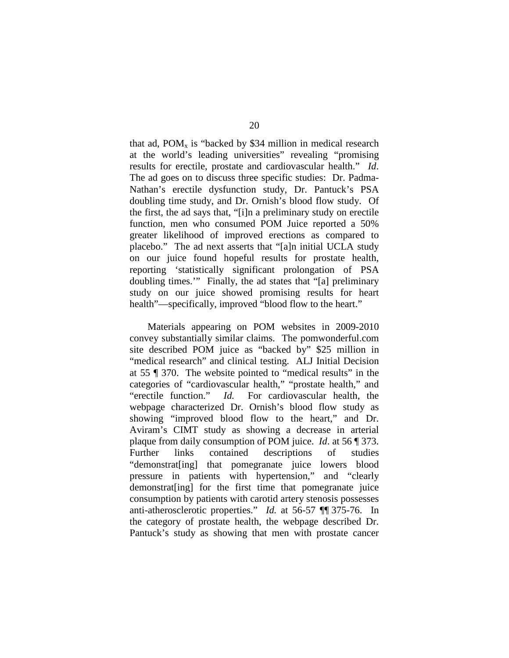that ad,  $POM_x$  is "backed by \$34 million in medical research at the world's leading universities" revealing "promising results for erectile, prostate and cardiovascular health." *Id*. The ad goes on to discuss three specific studies: Dr. Padma-Nathan's erectile dysfunction study, Dr. Pantuck's PSA doubling time study, and Dr. Ornish's blood flow study. Of the first, the ad says that, "[i]n a preliminary study on erectile function, men who consumed POM Juice reported a 50% greater likelihood of improved erections as compared to placebo." The ad next asserts that "[a]n initial UCLA study on our juice found hopeful results for prostate health, reporting 'statistically significant prolongation of PSA doubling times.'" Finally, the ad states that "[a] preliminary study on our juice showed promising results for heart health"—specifically, improved "blood flow to the heart."

Materials appearing on POM websites in 2009-2010 convey substantially similar claims. The pomwonderful.com site described POM juice as "backed by" \$25 million in "medical research" and clinical testing. ALJ Initial Decision at 55 ¶ 370. The website pointed to "medical results" in the categories of "cardiovascular health," "prostate health," and "erectile function." *Id.* For cardiovascular health, the webpage characterized Dr. Ornish's blood flow study as showing "improved blood flow to the heart," and Dr. Aviram's CIMT study as showing a decrease in arterial plaque from daily consumption of POM juice. *Id*. at 56 ¶ 373. Further links contained descriptions of studies "demonstrat[ing] that pomegranate juice lowers blood pressure in patients with hypertension," and "clearly demonstrat[ing] for the first time that pomegranate juice consumption by patients with carotid artery stenosis possesses anti-atherosclerotic properties." *Id.* at 56-57 ¶¶ 375-76. In the category of prostate health, the webpage described Dr. Pantuck's study as showing that men with prostate cancer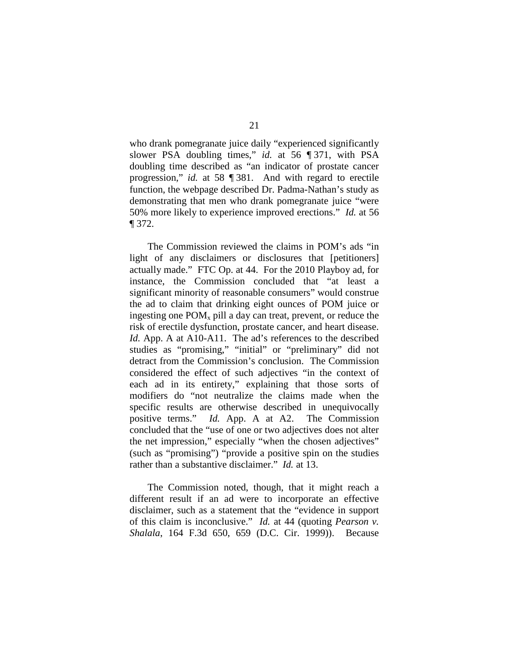who drank pomegranate juice daily "experienced significantly slower PSA doubling times," *id.* at 56 ¶ 371, with PSA doubling time described as "an indicator of prostate cancer progression," *id.* at 58 ¶ 381. And with regard to erectile function, the webpage described Dr. Padma-Nathan's study as demonstrating that men who drank pomegranate juice "were 50% more likely to experience improved erections." *Id.* at 56 ¶ 372.

The Commission reviewed the claims in POM's ads "in light of any disclaimers or disclosures that [petitioners] actually made." FTC Op. at 44. For the 2010 Playboy ad, for instance, the Commission concluded that "at least a significant minority of reasonable consumers" would construe the ad to claim that drinking eight ounces of POM juice or ingesting one  $POM_x$  pill a day can treat, prevent, or reduce the risk of erectile dysfunction, prostate cancer, and heart disease. *Id.* App. A at A10-A11. The ad's references to the described studies as "promising," "initial" or "preliminary" did not detract from the Commission's conclusion. The Commission considered the effect of such adjectives "in the context of each ad in its entirety," explaining that those sorts of modifiers do "not neutralize the claims made when the specific results are otherwise described in unequivocally positive terms." *Id.* App. A at A2. The Commission concluded that the "use of one or two adjectives does not alter the net impression," especially "when the chosen adjectives" (such as "promising") "provide a positive spin on the studies rather than a substantive disclaimer." *Id.* at 13.

The Commission noted, though, that it might reach a different result if an ad were to incorporate an effective disclaimer, such as a statement that the "evidence in support of this claim is inconclusive." *Id.* at 44 (quoting *Pearson v. Shalala*, 164 F.3d 650, 659 (D.C. Cir. 1999)). Because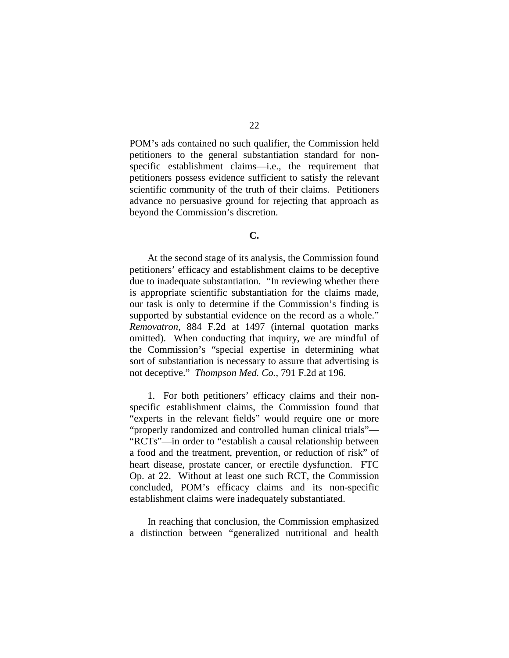POM's ads contained no such qualifier, the Commission held petitioners to the general substantiation standard for nonspecific establishment claims—i.e., the requirement that petitioners possess evidence sufficient to satisfy the relevant scientific community of the truth of their claims. Petitioners advance no persuasive ground for rejecting that approach as beyond the Commission's discretion.

#### **C.**

At the second stage of its analysis, the Commission found petitioners' efficacy and establishment claims to be deceptive due to inadequate substantiation. "In reviewing whether there is appropriate scientific substantiation for the claims made, our task is only to determine if the Commission's finding is supported by substantial evidence on the record as a whole." *Removatron*, 884 F.2d at 1497 (internal quotation marks omitted). When conducting that inquiry, we are mindful of the Commission's "special expertise in determining what sort of substantiation is necessary to assure that advertising is not deceptive." *Thompson Med. Co.*, 791 F.2d at 196.

1. For both petitioners' efficacy claims and their nonspecific establishment claims, the Commission found that "experts in the relevant fields" would require one or more "properly randomized and controlled human clinical trials"— "RCTs"—in order to "establish a causal relationship between a food and the treatment, prevention, or reduction of risk" of heart disease, prostate cancer, or erectile dysfunction. FTC Op. at 22. Without at least one such RCT, the Commission concluded, POM's efficacy claims and its non-specific establishment claims were inadequately substantiated.

In reaching that conclusion, the Commission emphasized a distinction between "generalized nutritional and health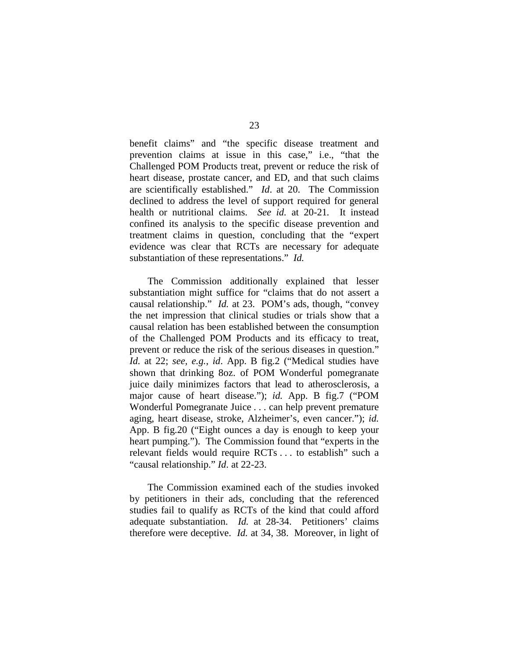benefit claims" and "the specific disease treatment and prevention claims at issue in this case," i.e., "that the Challenged POM Products treat, prevent or reduce the risk of heart disease, prostate cancer, and ED, and that such claims are scientifically established." *Id*. at 20. The Commission declined to address the level of support required for general health or nutritional claims. *See id.* at 20-21*.* It instead confined its analysis to the specific disease prevention and treatment claims in question, concluding that the "expert evidence was clear that RCTs are necessary for adequate substantiation of these representations." *Id.*

The Commission additionally explained that lesser substantiation might suffice for "claims that do not assert a causal relationship." *Id.* at 23. POM's ads, though, "convey the net impression that clinical studies or trials show that a causal relation has been established between the consumption of the Challenged POM Products and its efficacy to treat, prevent or reduce the risk of the serious diseases in question." *Id.* at 22; *see, e.g.*, *id*. App. B fig.2 ("Medical studies have shown that drinking 8oz. of POM Wonderful pomegranate juice daily minimizes factors that lead to atherosclerosis, a major cause of heart disease."); *id.* App. B fig.7 ("POM Wonderful Pomegranate Juice . . . can help prevent premature aging, heart disease, stroke, Alzheimer's, even cancer."); *id.* App. B fig.20 ("Eight ounces a day is enough to keep your heart pumping."). The Commission found that "experts in the relevant fields would require RCTs . . . to establish" such a "causal relationship." *Id*. at 22-23.

The Commission examined each of the studies invoked by petitioners in their ads, concluding that the referenced studies fail to qualify as RCTs of the kind that could afford adequate substantiation. *Id.* at 28-34. Petitioners' claims therefore were deceptive. *Id.* at 34, 38. Moreover, in light of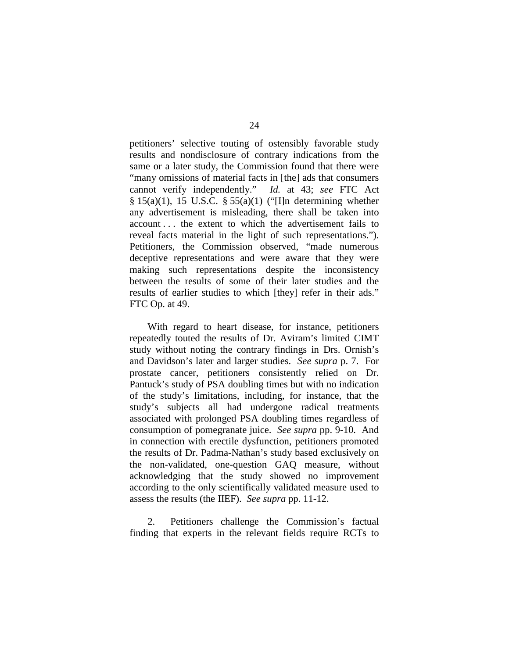petitioners' selective touting of ostensibly favorable study results and nondisclosure of contrary indications from the same or a later study, the Commission found that there were "many omissions of material facts in [the] ads that consumers cannot verify independently." *Id.* at 43; *see* FTC Act  $§ 15(a)(1)$ , 15 U.S.C. § 55(a)(1) ("[I]n determining whether any advertisement is misleading, there shall be taken into account . . . the extent to which the advertisement fails to reveal facts material in the light of such representations."). Petitioners, the Commission observed, "made numerous deceptive representations and were aware that they were making such representations despite the inconsistency between the results of some of their later studies and the results of earlier studies to which [they] refer in their ads." FTC Op. at 49.

With regard to heart disease, for instance, petitioners repeatedly touted the results of Dr. Aviram's limited CIMT study without noting the contrary findings in Drs. Ornish's and Davidson's later and larger studies. *See supra* p. 7. For prostate cancer, petitioners consistently relied on Dr. Pantuck's study of PSA doubling times but with no indication of the study's limitations, including, for instance, that the study's subjects all had undergone radical treatments associated with prolonged PSA doubling times regardless of consumption of pomegranate juice. *See supra* pp. 9-10. And in connection with erectile dysfunction, petitioners promoted the results of Dr. Padma-Nathan's study based exclusively on the non-validated, one-question GAQ measure, without acknowledging that the study showed no improvement according to the only scientifically validated measure used to assess the results (the IIEF). *See supra* pp. 11-12.

2. Petitioners challenge the Commission's factual finding that experts in the relevant fields require RCTs to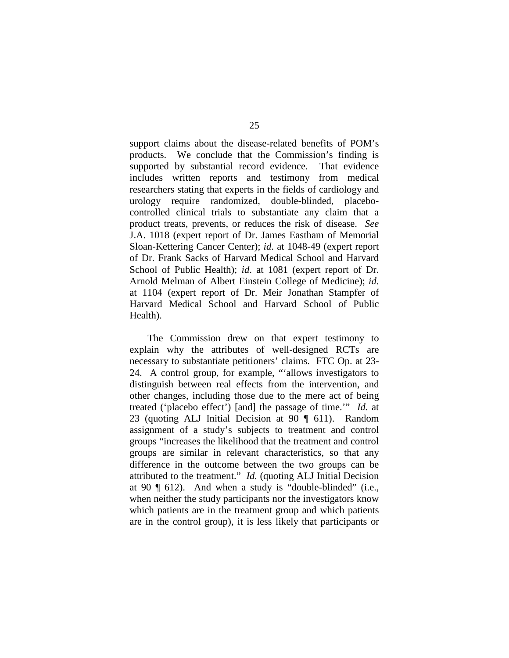support claims about the disease-related benefits of POM's products. We conclude that the Commission's finding is supported by substantial record evidence. That evidence includes written reports and testimony from medical researchers stating that experts in the fields of cardiology and urology require randomized, double-blinded, placebocontrolled clinical trials to substantiate any claim that a product treats, prevents, or reduces the risk of disease. *See* J.A. 1018 (expert report of Dr. James Eastham of Memorial Sloan-Kettering Cancer Center); *id*. at 1048-49 (expert report of Dr. Frank Sacks of Harvard Medical School and Harvard School of Public Health); *id*. at 1081 (expert report of Dr. Arnold Melman of Albert Einstein College of Medicine); *id*. at 1104 (expert report of Dr. Meir Jonathan Stampfer of Harvard Medical School and Harvard School of Public Health).

The Commission drew on that expert testimony to explain why the attributes of well-designed RCTs are necessary to substantiate petitioners' claims. FTC Op. at 23- 24. A control group, for example, "'allows investigators to distinguish between real effects from the intervention, and other changes, including those due to the mere act of being treated ('placebo effect') [and] the passage of time.'" *Id.* at 23 (quoting ALJ Initial Decision at 90 ¶ 611). Random assignment of a study's subjects to treatment and control groups "increases the likelihood that the treatment and control groups are similar in relevant characteristics, so that any difference in the outcome between the two groups can be attributed to the treatment." *Id.* (quoting ALJ Initial Decision at 90  $\parallel$  612). And when a study is "double-blinded" (i.e., when neither the study participants nor the investigators know which patients are in the treatment group and which patients are in the control group), it is less likely that participants or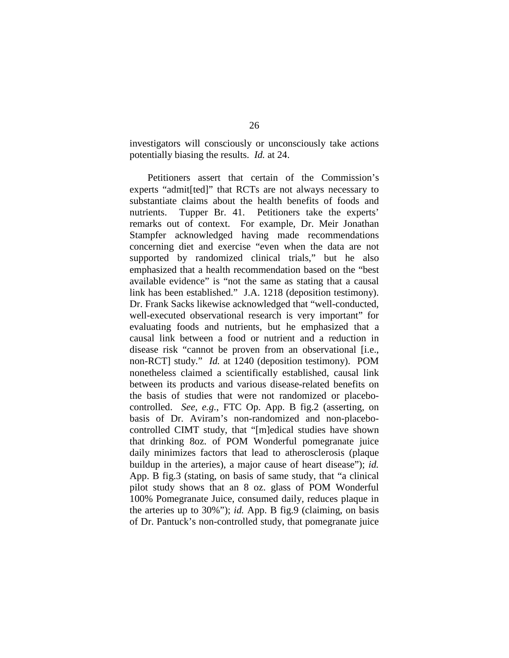investigators will consciously or unconsciously take actions potentially biasing the results. *Id.* at 24.

Petitioners assert that certain of the Commission's experts "admit[ted]" that RCTs are not always necessary to substantiate claims about the health benefits of foods and nutrients. Tupper Br. 41. Petitioners take the experts' remarks out of context. For example, Dr. Meir Jonathan Stampfer acknowledged having made recommendations concerning diet and exercise "even when the data are not supported by randomized clinical trials," but he also emphasized that a health recommendation based on the "best available evidence" is "not the same as stating that a causal link has been established." J.A. 1218 (deposition testimony). Dr. Frank Sacks likewise acknowledged that "well-conducted, well-executed observational research is very important" for evaluating foods and nutrients, but he emphasized that a causal link between a food or nutrient and a reduction in disease risk "cannot be proven from an observational [i.e., non-RCT] study." *Id.* at 1240 (deposition testimony). POM nonetheless claimed a scientifically established, causal link between its products and various disease-related benefits on the basis of studies that were not randomized or placebocontrolled. *See, e.g.*, FTC Op. App. B fig.2 (asserting, on basis of Dr. Aviram's non-randomized and non-placebocontrolled CIMT study, that "[m]edical studies have shown that drinking 8oz. of POM Wonderful pomegranate juice daily minimizes factors that lead to atherosclerosis (plaque buildup in the arteries), a major cause of heart disease"); *id.* App. B fig.3 (stating, on basis of same study, that "a clinical pilot study shows that an 8 oz. glass of POM Wonderful 100% Pomegranate Juice, consumed daily, reduces plaque in the arteries up to 30%"); *id.* App. B fig.9 (claiming, on basis of Dr. Pantuck's non-controlled study, that pomegranate juice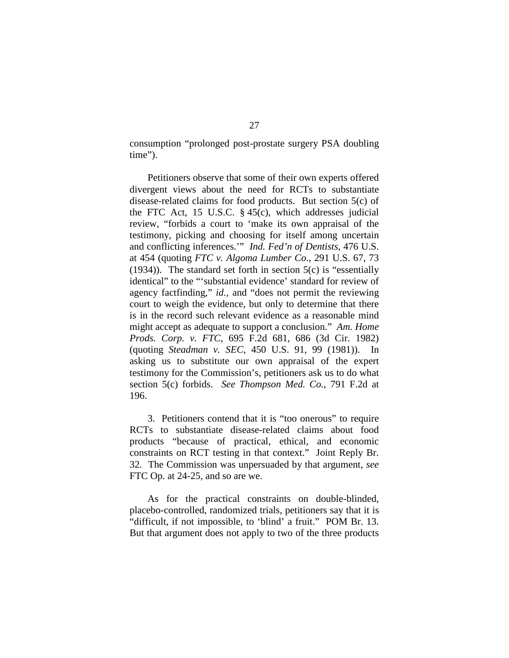consumption "prolonged post-prostate surgery PSA doubling time").

Petitioners observe that some of their own experts offered divergent views about the need for RCTs to substantiate disease-related claims for food products. But section 5(c) of the FTC Act, 15 U.S.C. § 45(c), which addresses judicial review, "forbids a court to 'make its own appraisal of the testimony, picking and choosing for itself among uncertain and conflicting inferences.'" *Ind. Fed'n of Dentists*, 476 U.S. at 454 (quoting *FTC v. Algoma Lumber Co*., 291 U.S. 67, 73 (1934)). The standard set forth in section 5(c) is "essentially identical" to the "'substantial evidence' standard for review of agency factfinding," *id.*, and "does not permit the reviewing court to weigh the evidence, but only to determine that there is in the record such relevant evidence as a reasonable mind might accept as adequate to support a conclusion." *Am. Home Prods. Corp. v. FTC*, 695 F.2d 681, 686 (3d Cir. 1982) (quoting *Steadman v. SEC*, 450 U.S. 91, 99 (1981)). In asking us to substitute our own appraisal of the expert testimony for the Commission's, petitioners ask us to do what section 5(c) forbids. *See Thompson Med. Co.*, 791 F.2d at 196.

3. Petitioners contend that it is "too onerous" to require RCTs to substantiate disease-related claims about food products "because of practical, ethical, and economic constraints on RCT testing in that context." Joint Reply Br. 32. The Commission was unpersuaded by that argument, *see* FTC Op. at 24-25, and so are we.

As for the practical constraints on double-blinded, placebo-controlled, randomized trials, petitioners say that it is "difficult, if not impossible, to 'blind' a fruit." POM Br. 13. But that argument does not apply to two of the three products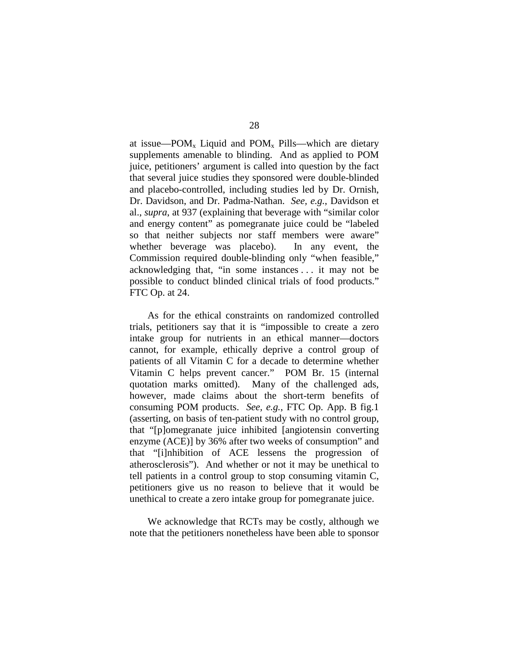at issue—POM<sub>x</sub> Liquid and POM<sub>x</sub> Pills—which are dietary supplements amenable to blinding. And as applied to POM juice, petitioners' argument is called into question by the fact that several juice studies they sponsored were double-blinded and placebo-controlled, including studies led by Dr. Ornish, Dr. Davidson, and Dr. Padma-Nathan. *See, e.g.*, Davidson et al., *supra*, at 937 (explaining that beverage with "similar color and energy content" as pomegranate juice could be "labeled so that neither subjects nor staff members were aware" whether beverage was placebo). In any event, the Commission required double-blinding only "when feasible," acknowledging that, "in some instances . . . it may not be possible to conduct blinded clinical trials of food products." FTC Op. at 24.

As for the ethical constraints on randomized controlled trials, petitioners say that it is "impossible to create a zero intake group for nutrients in an ethical manner—doctors cannot, for example, ethically deprive a control group of patients of all Vitamin C for a decade to determine whether Vitamin C helps prevent cancer." POM Br. 15 (internal quotation marks omitted). Many of the challenged ads, however, made claims about the short-term benefits of consuming POM products. *See, e.g.*, FTC Op. App. B fig.1 (asserting, on basis of ten-patient study with no control group, that "[p]omegranate juice inhibited [angiotensin converting enzyme (ACE)] by 36% after two weeks of consumption" and that "[i]nhibition of ACE lessens the progression of atherosclerosis"). And whether or not it may be unethical to tell patients in a control group to stop consuming vitamin C, petitioners give us no reason to believe that it would be unethical to create a zero intake group for pomegranate juice.

We acknowledge that RCTs may be costly, although we note that the petitioners nonetheless have been able to sponsor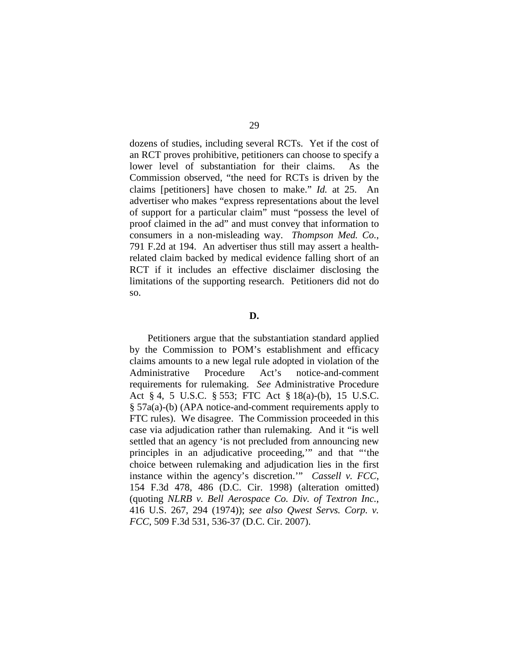dozens of studies, including several RCTs. Yet if the cost of an RCT proves prohibitive, petitioners can choose to specify a lower level of substantiation for their claims. As the Commission observed, "the need for RCTs is driven by the claims [petitioners] have chosen to make." *Id.* at 25. An advertiser who makes "express representations about the level of support for a particular claim" must "possess the level of proof claimed in the ad" and must convey that information to consumers in a non-misleading way. *Thompson Med. Co.*, 791 F.2d at 194. An advertiser thus still may assert a healthrelated claim backed by medical evidence falling short of an RCT if it includes an effective disclaimer disclosing the limitations of the supporting research. Petitioners did not do so.

## **D.**

Petitioners argue that the substantiation standard applied by the Commission to POM's establishment and efficacy claims amounts to a new legal rule adopted in violation of the Administrative Procedure Act's notice-and-comment requirements for rulemaking. *See* Administrative Procedure Act § 4, 5 U.S.C. § 553; FTC Act § 18(a)-(b), 15 U.S.C. § 57a(a)-(b) (APA notice-and-comment requirements apply to FTC rules). We disagree. The Commission proceeded in this case via adjudication rather than rulemaking. And it "is well settled that an agency 'is not precluded from announcing new principles in an adjudicative proceeding,'" and that "'the choice between rulemaking and adjudication lies in the first instance within the agency's discretion.'" *Cassell v. FCC*, 154 F.3d 478, 486 (D.C. Cir. 1998) (alteration omitted) (quoting *NLRB v. Bell Aerospace Co. Div. of Textron Inc.*, 416 U.S. 267, 294 (1974)); *see also Qwest Servs. Corp. v. FCC*, 509 F.3d 531, 536-37 (D.C. Cir. 2007).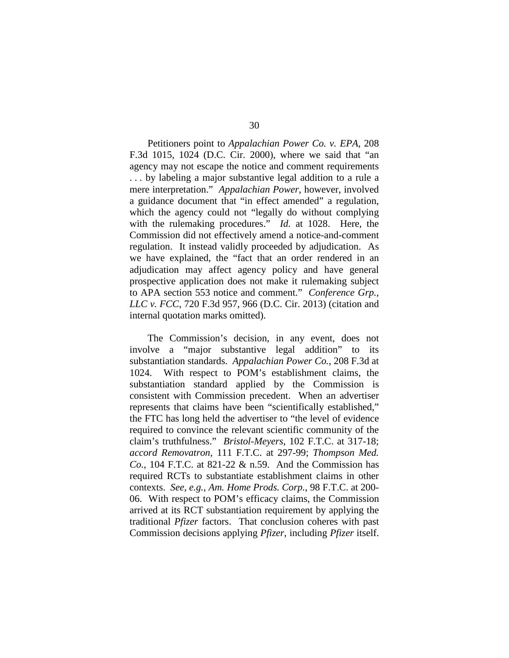Petitioners point to *Appalachian Power Co. v. EPA*, 208 F.3d 1015, 1024 (D.C. Cir. 2000), where we said that "an agency may not escape the notice and comment requirements . . . by labeling a major substantive legal addition to a rule a mere interpretation." *Appalachian Power*, however, involved a guidance document that "in effect amended" a regulation, which the agency could not "legally do without complying with the rulemaking procedures." *Id.* at 1028. Here, the Commission did not effectively amend a notice-and-comment regulation. It instead validly proceeded by adjudication. As we have explained, the "fact that an order rendered in an adjudication may affect agency policy and have general prospective application does not make it rulemaking subject to APA section 553 notice and comment." *Conference Grp., LLC v. FCC*, 720 F.3d 957, 966 (D.C. Cir. 2013) (citation and internal quotation marks omitted).

The Commission's decision, in any event, does not involve a "major substantive legal addition" to its substantiation standards. *Appalachian Power Co.*, 208 F.3d at 1024. With respect to POM's establishment claims, the substantiation standard applied by the Commission is consistent with Commission precedent. When an advertiser represents that claims have been "scientifically established," the FTC has long held the advertiser to "the level of evidence required to convince the relevant scientific community of the claim's truthfulness." *Bristol-Meyers*, 102 F.T.C. at 317-18; *accord Removatron*, 111 F.T.C. at 297-99; *Thompson Med. Co.*, 104 F.T.C. at 821-22 & n.59. And the Commission has required RCTs to substantiate establishment claims in other contexts. *See, e.g.*, *Am. Home Prods. Corp.*, 98 F.T.C. at 200- 06. With respect to POM's efficacy claims, the Commission arrived at its RCT substantiation requirement by applying the traditional *Pfizer* factors. That conclusion coheres with past Commission decisions applying *Pfizer*, including *Pfizer* itself.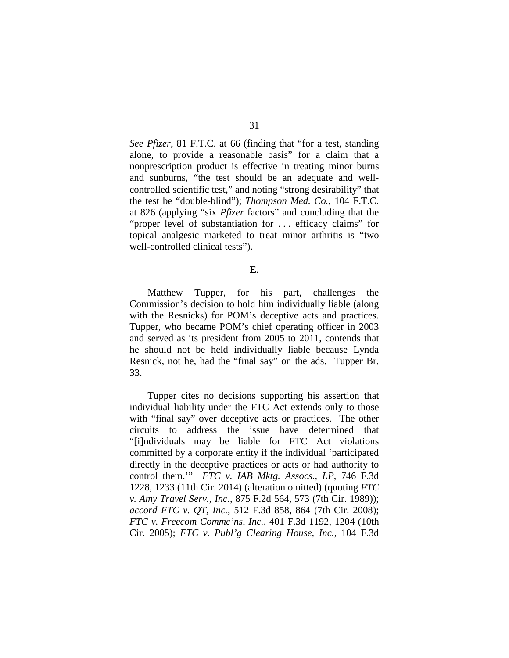*See Pfizer*, 81 F.T.C. at 66 (finding that "for a test, standing alone, to provide a reasonable basis" for a claim that a nonprescription product is effective in treating minor burns and sunburns, "the test should be an adequate and wellcontrolled scientific test," and noting "strong desirability" that the test be "double-blind"); *Thompson Med. Co.*, 104 F.T.C. at 826 (applying "six *Pfizer* factors" and concluding that the "proper level of substantiation for . . . efficacy claims" for topical analgesic marketed to treat minor arthritis is "two well-controlled clinical tests").

**E.**

Matthew Tupper, for his part, challenges the Commission's decision to hold him individually liable (along with the Resnicks) for POM's deceptive acts and practices. Tupper, who became POM's chief operating officer in 2003 and served as its president from 2005 to 2011, contends that he should not be held individually liable because Lynda Resnick, not he, had the "final say" on the ads. Tupper Br. 33.

Tupper cites no decisions supporting his assertion that individual liability under the FTC Act extends only to those with "final say" over deceptive acts or practices. The other circuits to address the issue have determined that "[i]ndividuals may be liable for FTC Act violations committed by a corporate entity if the individual 'participated directly in the deceptive practices or acts or had authority to control them.'" *FTC v. IAB Mktg. Assocs., LP*, 746 F.3d 1228, 1233 (11th Cir. 2014) (alteration omitted) (quoting *FTC v. Amy Travel Serv., Inc.*, 875 F.2d 564, 573 (7th Cir. 1989)); *accord FTC v. QT, Inc.*, 512 F.3d 858, 864 (7th Cir. 2008); *FTC v. Freecom Commc'ns, Inc.*, 401 F.3d 1192, 1204 (10th Cir. 2005); *FTC v. Publ'g Clearing House, Inc.*, 104 F.3d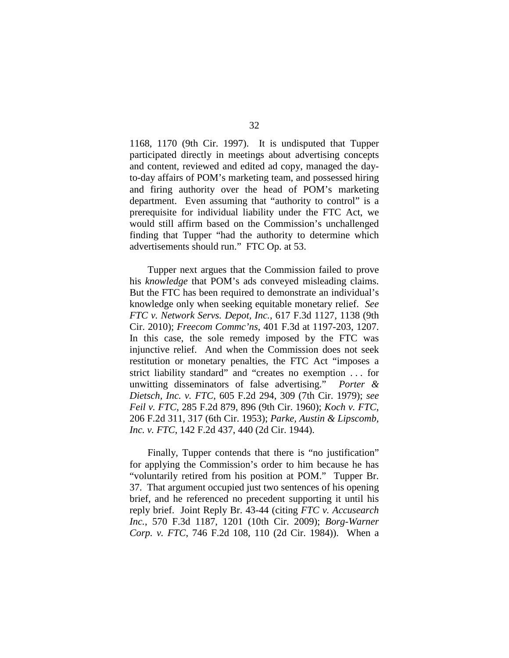1168, 1170 (9th Cir. 1997). It is undisputed that Tupper participated directly in meetings about advertising concepts and content, reviewed and edited ad copy, managed the dayto-day affairs of POM's marketing team, and possessed hiring and firing authority over the head of POM's marketing department. Even assuming that "authority to control" is a prerequisite for individual liability under the FTC Act, we would still affirm based on the Commission's unchallenged finding that Tupper "had the authority to determine which advertisements should run." FTC Op. at 53.

Tupper next argues that the Commission failed to prove his *knowledge* that POM's ads conveyed misleading claims. But the FTC has been required to demonstrate an individual's knowledge only when seeking equitable monetary relief. *See FTC v. Network Servs. Depot, Inc.*, 617 F.3d 1127, 1138 (9th Cir. 2010); *Freecom Commc'ns*, 401 F.3d at 1197-203, 1207. In this case, the sole remedy imposed by the FTC was injunctive relief. And when the Commission does not seek restitution or monetary penalties, the FTC Act "imposes a strict liability standard" and "creates no exemption . . . for unwitting disseminators of false advertising." *Porter & Dietsch, Inc. v. FTC*, 605 F.2d 294, 309 (7th Cir. 1979); *see Feil v. FTC*, 285 F.2d 879, 896 (9th Cir. 1960); *Koch v. FTC*, 206 F.2d 311, 317 (6th Cir. 1953); *Parke, Austin & Lipscomb, Inc. v. FTC*, 142 F.2d 437, 440 (2d Cir. 1944).

Finally, Tupper contends that there is "no justification" for applying the Commission's order to him because he has "voluntarily retired from his position at POM." Tupper Br. 37. That argument occupied just two sentences of his opening brief, and he referenced no precedent supporting it until his reply brief. Joint Reply Br. 43-44 (citing *FTC v. Accusearch Inc.*, 570 F.3d 1187, 1201 (10th Cir. 2009); *Borg-Warner Corp. v. FTC*, 746 F.2d 108, 110 (2d Cir. 1984)). When a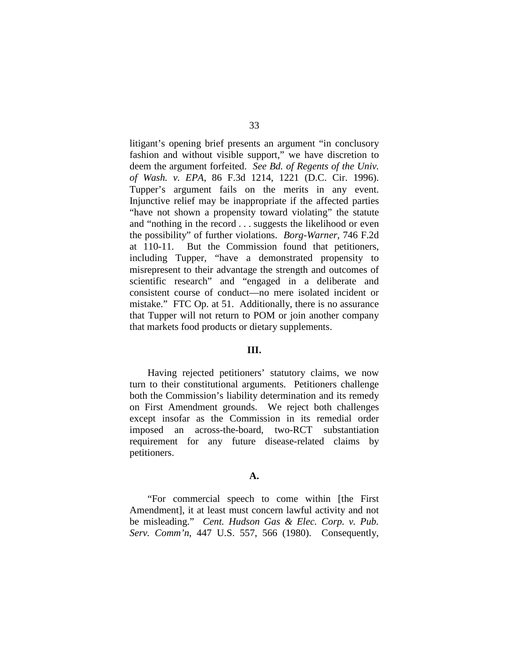litigant's opening brief presents an argument "in conclusory fashion and without visible support," we have discretion to deem the argument forfeited. *See Bd. of Regents of the Univ. of Wash. v. EPA*, 86 F.3d 1214, 1221 (D.C. Cir. 1996). Tupper's argument fails on the merits in any event. Injunctive relief may be inappropriate if the affected parties "have not shown a propensity toward violating" the statute and "nothing in the record . . . suggests the likelihood or even the possibility" of further violations. *Borg-Warner*, 746 F.2d at 110-11. But the Commission found that petitioners, including Tupper, "have a demonstrated propensity to misrepresent to their advantage the strength and outcomes of scientific research" and "engaged in a deliberate and consistent course of conduct—no mere isolated incident or mistake." FTC Op. at 51. Additionally, there is no assurance that Tupper will not return to POM or join another company that markets food products or dietary supplements.

## **III.**

Having rejected petitioners' statutory claims, we now turn to their constitutional arguments. Petitioners challenge both the Commission's liability determination and its remedy on First Amendment grounds. We reject both challenges except insofar as the Commission in its remedial order imposed an across-the-board, two-RCT substantiation requirement for any future disease-related claims by petitioners.

## **A.**

"For commercial speech to come within [the First Amendment], it at least must concern lawful activity and not be misleading." *Cent. Hudson Gas & Elec. Corp. v. Pub. Serv. Comm'n*, 447 U.S. 557, 566 (1980). Consequently,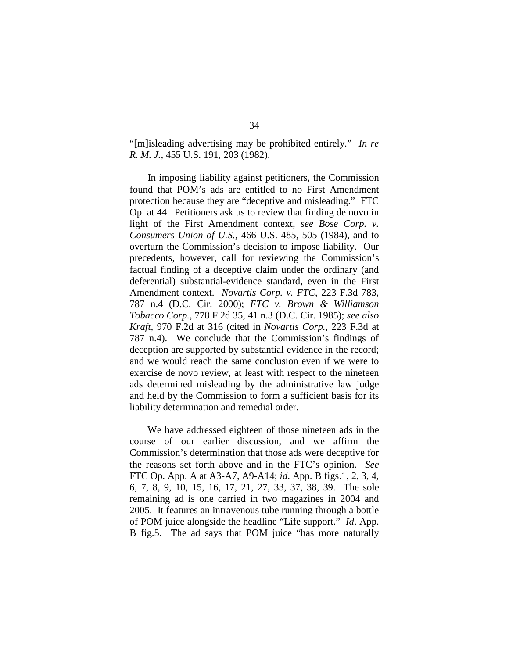"[m]isleading advertising may be prohibited entirely." *In re R. M. J.*, 455 U.S. 191, 203 (1982).

In imposing liability against petitioners, the Commission found that POM's ads are entitled to no First Amendment protection because they are "deceptive and misleading." FTC Op. at 44. Petitioners ask us to review that finding de novo in light of the First Amendment context, *see Bose Corp. v. Consumers Union of U.S.*, 466 U.S. 485, 505 (1984), and to overturn the Commission's decision to impose liability. Our precedents, however, call for reviewing the Commission's factual finding of a deceptive claim under the ordinary (and deferential) substantial-evidence standard, even in the First Amendment context. *Novartis Corp. v. FTC*, 223 F.3d 783, 787 n.4 (D.C. Cir. 2000); *FTC v. Brown & Williamson Tobacco Corp.*, 778 F.2d 35, 41 n.3 (D.C. Cir. 1985); *see also Kraft,* 970 F.2d at 316 (cited in *Novartis Corp.*, 223 F.3d at 787 n.4). We conclude that the Commission's findings of deception are supported by substantial evidence in the record; and we would reach the same conclusion even if we were to exercise de novo review, at least with respect to the nineteen ads determined misleading by the administrative law judge and held by the Commission to form a sufficient basis for its liability determination and remedial order.

We have addressed eighteen of those nineteen ads in the course of our earlier discussion, and we affirm the Commission's determination that those ads were deceptive for the reasons set forth above and in the FTC's opinion. *See*  FTC Op. App. A at A3-A7, A9-A14; *id*. App. B figs.1, 2, 3, 4, 6, 7, 8, 9, 10, 15, 16, 17, 21, 27, 33, 37, 38, 39. The sole remaining ad is one carried in two magazines in 2004 and 2005. It features an intravenous tube running through a bottle of POM juice alongside the headline "Life support." *Id*. App. B fig.5. The ad says that POM juice "has more naturally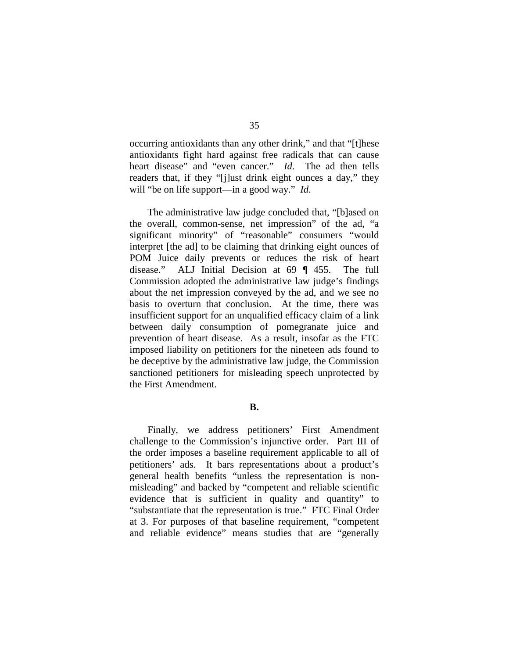occurring antioxidants than any other drink," and that "[t]hese antioxidants fight hard against free radicals that can cause heart disease" and "even cancer." *Id*. The ad then tells readers that, if they "[j]ust drink eight ounces a day," they will "be on life support—in a good way." *Id*.

The administrative law judge concluded that, "[b]ased on the overall, common-sense, net impression" of the ad, "a significant minority" of "reasonable" consumers "would interpret [the ad] to be claiming that drinking eight ounces of POM Juice daily prevents or reduces the risk of heart disease." ALJ Initial Decision at 69 ¶ 455. The full Commission adopted the administrative law judge's findings about the net impression conveyed by the ad, and we see no basis to overturn that conclusion. At the time, there was insufficient support for an unqualified efficacy claim of a link between daily consumption of pomegranate juice and prevention of heart disease.As a result, insofar as the FTC imposed liability on petitioners for the nineteen ads found to be deceptive by the administrative law judge, the Commission sanctioned petitioners for misleading speech unprotected by the First Amendment.

## **B.**

Finally, we address petitioners' First Amendment challenge to the Commission's injunctive order. Part III of the order imposes a baseline requirement applicable to all of petitioners' ads. It bars representations about a product's general health benefits "unless the representation is nonmisleading" and backed by "competent and reliable scientific evidence that is sufficient in quality and quantity" to "substantiate that the representation is true." FTC Final Order at 3. For purposes of that baseline requirement, "competent and reliable evidence" means studies that are "generally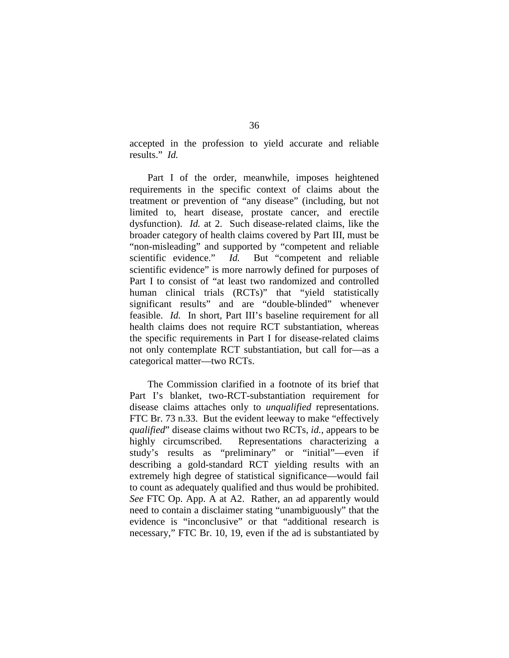accepted in the profession to yield accurate and reliable results." *Id.*

Part I of the order, meanwhile, imposes heightened requirements in the specific context of claims about the treatment or prevention of "any disease" (including, but not limited to, heart disease, prostate cancer, and erectile dysfunction). *Id.* at 2. Such disease-related claims, like the broader category of health claims covered by Part III, must be "non-misleading" and supported by "competent and reliable scientific evidence." *Id.* But "competent and reliable scientific evidence" is more narrowly defined for purposes of Part I to consist of "at least two randomized and controlled human clinical trials (RCTs)" that "yield statistically significant results" and are "double-blinded" whenever feasible. *Id.* In short, Part III's baseline requirement for all health claims does not require RCT substantiation, whereas the specific requirements in Part I for disease-related claims not only contemplate RCT substantiation, but call for—as a categorical matter—two RCTs.

The Commission clarified in a footnote of its brief that Part I's blanket, two-RCT-substantiation requirement for disease claims attaches only to *unqualified* representations. FTC Br. 73 n.33. But the evident leeway to make "effectively *qualified*" disease claims without two RCTs, *id.*, appears to be highly circumscribed. Representations characterizing a study's results as "preliminary" or "initial"—even if describing a gold-standard RCT yielding results with an extremely high degree of statistical significance—would fail to count as adequately qualified and thus would be prohibited. *See* FTC Op. App. A at A2. Rather, an ad apparently would need to contain a disclaimer stating "unambiguously" that the evidence is "inconclusive" or that "additional research is necessary," FTC Br. 10, 19, even if the ad is substantiated by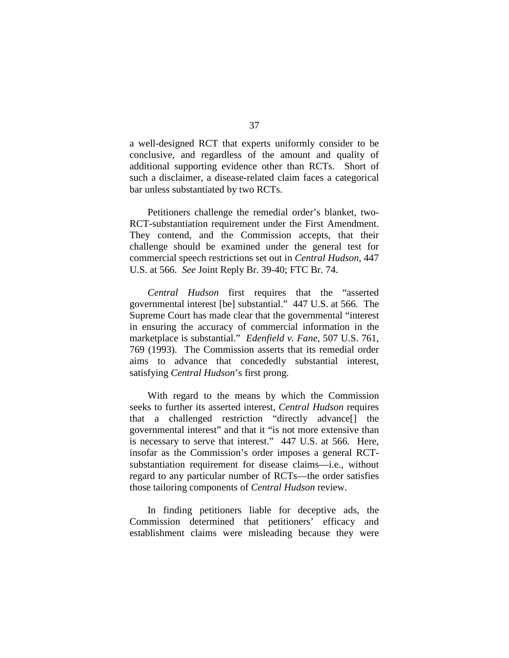a well-designed RCT that experts uniformly consider to be conclusive, and regardless of the amount and quality of additional supporting evidence other than RCTs. Short of such a disclaimer, a disease-related claim faces a categorical bar unless substantiated by two RCTs.

Petitioners challenge the remedial order's blanket, two-RCT-substantiation requirement under the First Amendment. They contend, and the Commission accepts, that their challenge should be examined under the general test for commercial speech restrictions set out in *Central Hudson*, 447 U.S. at 566. *See* Joint Reply Br. 39-40; FTC Br. 74.

*Central Hudson* first requires that the "asserted governmental interest [be] substantial." 447 U.S. at 566. The Supreme Court has made clear that the governmental "interest in ensuring the accuracy of commercial information in the marketplace is substantial." *Edenfield v. Fane*, 507 U.S. 761, 769 (1993). The Commission asserts that its remedial order aims to advance that concededly substantial interest, satisfying *Central Hudson*'s first prong.

With regard to the means by which the Commission seeks to further its asserted interest, *Central Hudson* requires that a challenged restriction "directly advance[] the governmental interest" and that it "is not more extensive than is necessary to serve that interest." 447 U.S. at 566. Here, insofar as the Commission's order imposes a general RCTsubstantiation requirement for disease claims—i.e., without regard to any particular number of RCTs—the order satisfies those tailoring components of *Central Hudson* review.

In finding petitioners liable for deceptive ads, the Commission determined that petitioners' efficacy and establishment claims were misleading because they were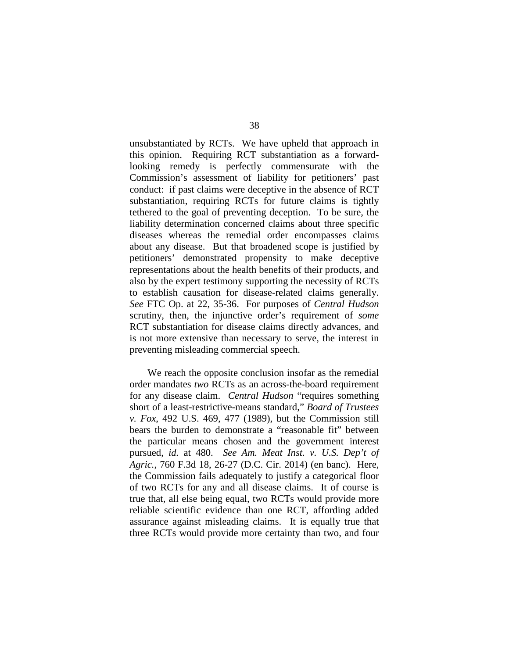unsubstantiated by RCTs. We have upheld that approach in this opinion. Requiring RCT substantiation as a forwardlooking remedy is perfectly commensurate with the Commission's assessment of liability for petitioners' past conduct: if past claims were deceptive in the absence of RCT substantiation, requiring RCTs for future claims is tightly tethered to the goal of preventing deception. To be sure, the liability determination concerned claims about three specific diseases whereas the remedial order encompasses claims about any disease. But that broadened scope is justified by petitioners' demonstrated propensity to make deceptive representations about the health benefits of their products, and also by the expert testimony supporting the necessity of RCTs to establish causation for disease-related claims generally. *See* FTC Op. at 22, 35-36. For purposes of *Central Hudson*  scrutiny, then, the injunctive order's requirement of *some*  RCT substantiation for disease claims directly advances, and is not more extensive than necessary to serve, the interest in preventing misleading commercial speech.

We reach the opposite conclusion insofar as the remedial order mandates *two* RCTs as an across-the-board requirement for any disease claim. *Central Hudson* "requires something short of a least-restrictive-means standard," *Board of Trustees v. Fox*, 492 U.S. 469, 477 (1989), but the Commission still bears the burden to demonstrate a "reasonable fit" between the particular means chosen and the government interest pursued, *id.* at 480. *See Am. Meat Inst. v. U.S. Dep't of Agric.*, 760 F.3d 18, 26-27 (D.C. Cir. 2014) (en banc). Here, the Commission fails adequately to justify a categorical floor of two RCTs for any and all disease claims. It of course is true that, all else being equal, two RCTs would provide more reliable scientific evidence than one RCT, affording added assurance against misleading claims. It is equally true that three RCTs would provide more certainty than two, and four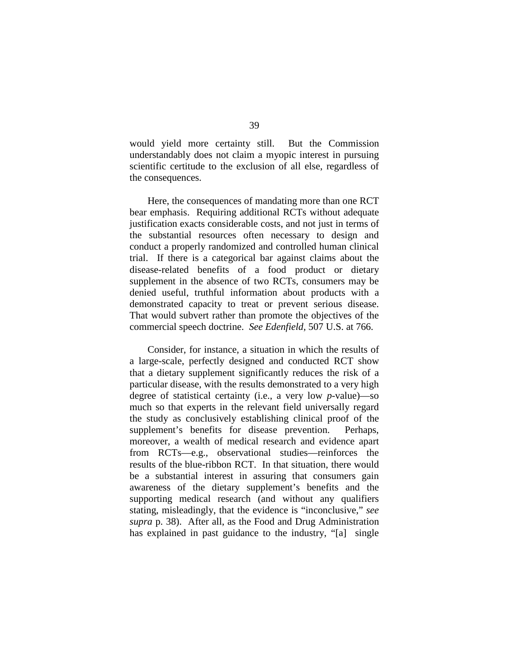would yield more certainty still. But the Commission understandably does not claim a myopic interest in pursuing scientific certitude to the exclusion of all else, regardless of the consequences.

Here, the consequences of mandating more than one RCT bear emphasis. Requiring additional RCTs without adequate justification exacts considerable costs, and not just in terms of the substantial resources often necessary to design and conduct a properly randomized and controlled human clinical trial. If there is a categorical bar against claims about the disease-related benefits of a food product or dietary supplement in the absence of two RCTs, consumers may be denied useful, truthful information about products with a demonstrated capacity to treat or prevent serious disease. That would subvert rather than promote the objectives of the commercial speech doctrine. *See Edenfield*, 507 U.S. at 766.

Consider, for instance, a situation in which the results of a large-scale, perfectly designed and conducted RCT show that a dietary supplement significantly reduces the risk of a particular disease, with the results demonstrated to a very high degree of statistical certainty (i.e., a very low *p*-value)—so much so that experts in the relevant field universally regard the study as conclusively establishing clinical proof of the supplement's benefits for disease prevention. Perhaps, moreover, a wealth of medical research and evidence apart from RCTs—e.g., observational studies—reinforces the results of the blue-ribbon RCT. In that situation, there would be a substantial interest in assuring that consumers gain awareness of the dietary supplement's benefits and the supporting medical research (and without any qualifiers stating, misleadingly, that the evidence is "inconclusive," *see supra* p. 38). After all, as the Food and Drug Administration has explained in past guidance to the industry, "[a] single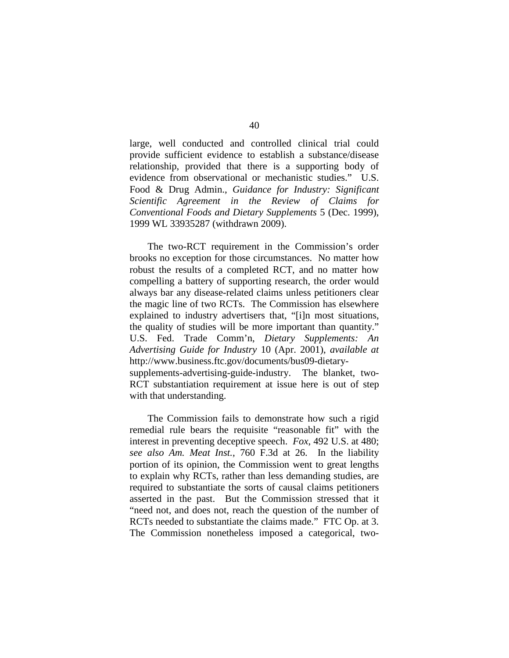large, well conducted and controlled clinical trial could provide sufficient evidence to establish a substance/disease relationship, provided that there is a supporting body of evidence from observational or mechanistic studies." U.S. Food & Drug Admin., *Guidance for Industry: Significant Scientific Agreement in the Review of Claims for Conventional Foods and Dietary Supplements* 5 (Dec. 1999), 1999 WL 33935287 (withdrawn 2009).

The two-RCT requirement in the Commission's order brooks no exception for those circumstances. No matter how robust the results of a completed RCT, and no matter how compelling a battery of supporting research, the order would always bar any disease-related claims unless petitioners clear the magic line of two RCTs. The Commission has elsewhere explained to industry advertisers that, "[i]n most situations, the quality of studies will be more important than quantity." U.S. Fed. Trade Comm'n, *Dietary Supplements: An Advertising Guide for Industry* 10 (Apr. 2001), *available at* http://www.business.ftc.gov/documents/bus09-dietary-

supplements-advertising-guide-industry. The blanket, two-RCT substantiation requirement at issue here is out of step with that understanding.

The Commission fails to demonstrate how such a rigid remedial rule bears the requisite "reasonable fit" with the interest in preventing deceptive speech. *Fox*, 492 U.S. at 480; *see also Am. Meat Inst.*, 760 F.3d at 26. In the liability portion of its opinion, the Commission went to great lengths to explain why RCTs, rather than less demanding studies, are required to substantiate the sorts of causal claims petitioners asserted in the past. But the Commission stressed that it "need not, and does not, reach the question of the number of RCTs needed to substantiate the claims made." FTC Op. at 3. The Commission nonetheless imposed a categorical, two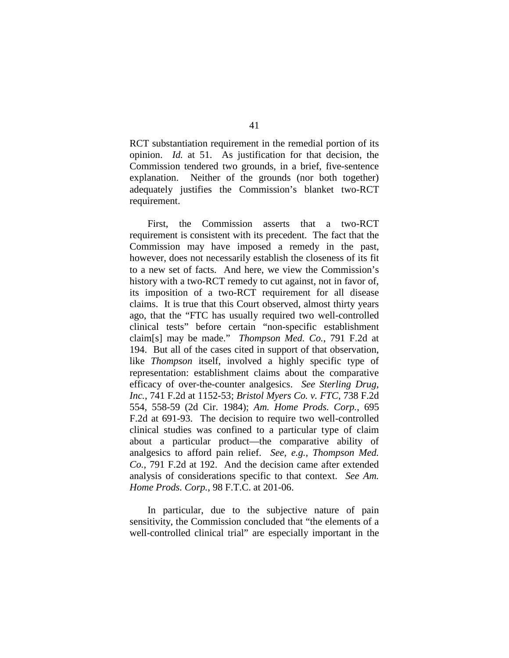RCT substantiation requirement in the remedial portion of its opinion. *Id.* at 51. As justification for that decision, the Commission tendered two grounds, in a brief, five-sentence explanation. Neither of the grounds (nor both together) adequately justifies the Commission's blanket two-RCT requirement.

First, the Commission asserts that a two-RCT requirement is consistent with its precedent. The fact that the Commission may have imposed a remedy in the past, however, does not necessarily establish the closeness of its fit to a new set of facts. And here, we view the Commission's history with a two-RCT remedy to cut against, not in favor of, its imposition of a two-RCT requirement for all disease claims. It is true that this Court observed, almost thirty years ago, that the "FTC has usually required two well-controlled clinical tests" before certain "non-specific establishment claim[s] may be made." *Thompson Med. Co.*, 791 F.2d at 194. But all of the cases cited in support of that observation, like *Thompson* itself, involved a highly specific type of representation: establishment claims about the comparative efficacy of over-the-counter analgesics. *See Sterling Drug, Inc.*, 741 F.2d at 1152-53; *Bristol Myers Co. v. FTC*, 738 F.2d 554, 558-59 (2d Cir. 1984); *Am. Home Prods. Corp.*, 695 F.2d at 691-93. The decision to require two well-controlled clinical studies was confined to a particular type of claim about a particular product—the comparative ability of analgesics to afford pain relief. *See, e.g.*, *Thompson Med. Co.*, 791 F.2d at 192. And the decision came after extended analysis of considerations specific to that context. *See Am. Home Prods. Corp.*, 98 F.T.C. at 201-06.

In particular, due to the subjective nature of pain sensitivity, the Commission concluded that "the elements of a well-controlled clinical trial" are especially important in the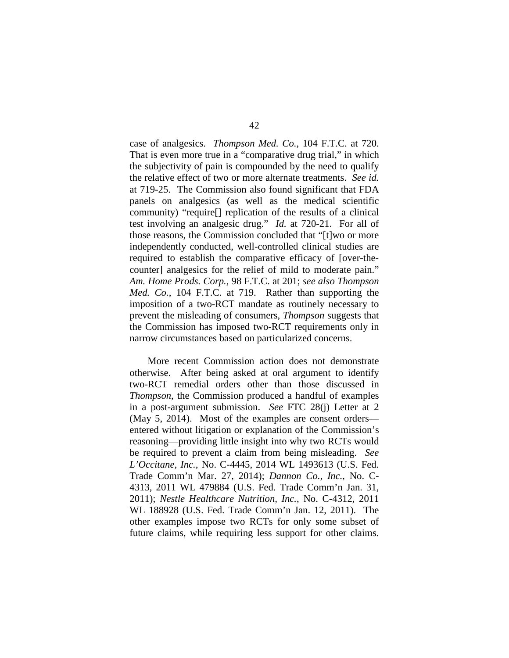case of analgesics. *Thompson Med. Co.*, 104 F.T.C. at 720. That is even more true in a "comparative drug trial," in which the subjectivity of pain is compounded by the need to qualify the relative effect of two or more alternate treatments. *See id.* at 719-25. The Commission also found significant that FDA panels on analgesics (as well as the medical scientific community) "require[] replication of the results of a clinical test involving an analgesic drug." *Id.* at 720-21. For all of those reasons, the Commission concluded that "[t]wo or more independently conducted, well-controlled clinical studies are required to establish the comparative efficacy of [over-thecounter] analgesics for the relief of mild to moderate pain." *Am. Home Prods. Corp.*, 98 F.T.C. at 201; *see also Thompson Med. Co.*, 104 F.T.C. at 719. Rather than supporting the imposition of a two-RCT mandate as routinely necessary to prevent the misleading of consumers, *Thompson* suggests that the Commission has imposed two-RCT requirements only in narrow circumstances based on particularized concerns.

More recent Commission action does not demonstrate otherwise. After being asked at oral argument to identify two-RCT remedial orders other than those discussed in *Thompson*, the Commission produced a handful of examples in a post-argument submission. *See* FTC 28(j) Letter at 2 (May 5, 2014). Most of the examples are consent orders entered without litigation or explanation of the Commission's reasoning—providing little insight into why two RCTs would be required to prevent a claim from being misleading. *See L'Occitane, Inc.*, No. C-4445, 2014 WL 1493613 (U.S. Fed. Trade Comm'n Mar. 27, 2014); *Dannon Co., Inc.*, No. C-4313, 2011 WL 479884 (U.S. Fed. Trade Comm'n Jan. 31, 2011); *Nestle Healthcare Nutrition, Inc.*, No. C-4312, 2011 WL 188928 (U.S. Fed. Trade Comm'n Jan. 12, 2011). The other examples impose two RCTs for only some subset of future claims, while requiring less support for other claims.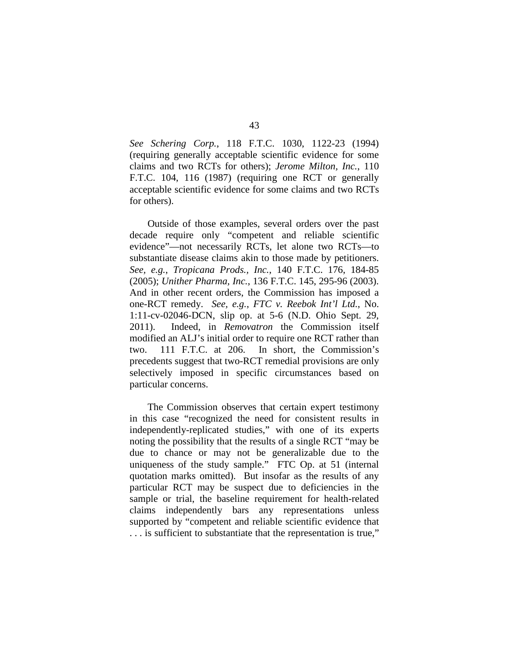*See Schering Corp.*, 118 F.T.C. 1030, 1122-23 (1994) (requiring generally acceptable scientific evidence for some claims and two RCTs for others); *Jerome Milton, Inc.*, 110 F.T.C. 104, 116 (1987) (requiring one RCT or generally acceptable scientific evidence for some claims and two RCTs for others).

Outside of those examples, several orders over the past decade require only "competent and reliable scientific evidence"—not necessarily RCTs, let alone two RCTs—to substantiate disease claims akin to those made by petitioners. *See, e.g.*, *Tropicana Prods., Inc.*, 140 F.T.C. 176, 184-85 (2005); *Unither Pharma, Inc.*, 136 F.T.C. 145, 295-96 (2003). And in other recent orders, the Commission has imposed a one-RCT remedy. *See, e.g.*, *FTC v. Reebok Int'l Ltd.*, No. 1:11-cv-02046-DCN, slip op. at 5-6 (N.D. Ohio Sept. 29, 2011). Indeed, in *Removatron* the Commission itself modified an ALJ's initial order to require one RCT rather than two. 111 F.T.C. at 206. In short, the Commission's precedents suggest that two-RCT remedial provisions are only selectively imposed in specific circumstances based on particular concerns.

The Commission observes that certain expert testimony in this case "recognized the need for consistent results in independently-replicated studies," with one of its experts noting the possibility that the results of a single RCT "may be due to chance or may not be generalizable due to the uniqueness of the study sample." FTC Op. at 51 (internal quotation marks omitted). But insofar as the results of any particular RCT may be suspect due to deficiencies in the sample or trial, the baseline requirement for health-related claims independently bars any representations unless supported by "competent and reliable scientific evidence that . . . is sufficient to substantiate that the representation is true,"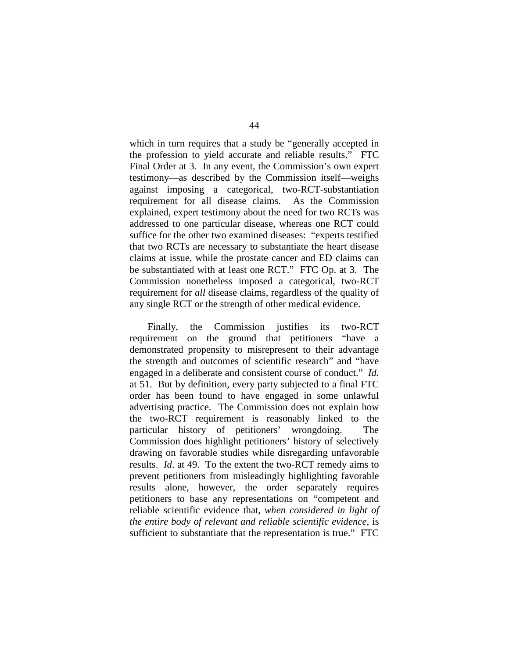which in turn requires that a study be "generally accepted in the profession to yield accurate and reliable results." FTC Final Order at 3. In any event, the Commission's own expert testimony—as described by the Commission itself—weighs against imposing a categorical, two-RCT-substantiation requirement for all disease claims. As the Commission explained, expert testimony about the need for two RCTs was addressed to one particular disease, whereas one RCT could suffice for the other two examined diseases: "experts testified that two RCTs are necessary to substantiate the heart disease claims at issue, while the prostate cancer and ED claims can be substantiated with at least one RCT." FTC Op. at 3. The Commission nonetheless imposed a categorical, two-RCT requirement for *all* disease claims, regardless of the quality of any single RCT or the strength of other medical evidence.

Finally, the Commission justifies its two-RCT requirement on the ground that petitioners "have a demonstrated propensity to misrepresent to their advantage the strength and outcomes of scientific research" and "have engaged in a deliberate and consistent course of conduct." *Id.* at 51. But by definition, every party subjected to a final FTC order has been found to have engaged in some unlawful advertising practice. The Commission does not explain how the two-RCT requirement is reasonably linked to the particular history of petitioners' wrongdoing. The Commission does highlight petitioners' history of selectively drawing on favorable studies while disregarding unfavorable results. *Id*. at 49. To the extent the two-RCT remedy aims to prevent petitioners from misleadingly highlighting favorable results alone, however, the order separately requires petitioners to base any representations on "competent and reliable scientific evidence that, *when considered in light of the entire body of relevant and reliable scientific evidence*, is sufficient to substantiate that the representation is true." FTC